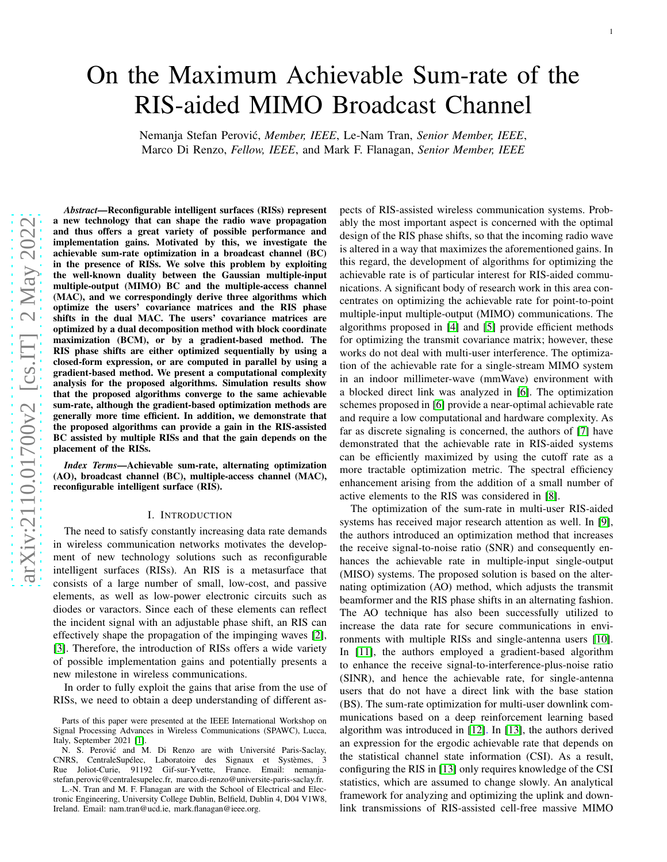# On the Maximum Achievable Sum-rate of the RIS-aided MIMO Broadcast Channel

Nemanja Stefan Perović, Member, IEEE, Le-Nam Tran, Senior Member, IEEE, Marco Di Renzo, *Fellow, IEEE*, and Mark F. Flanagan, *Senior Member, IEEE*

*Abstract*—Reconfigurable intelligent surfaces (RISs) represent a new technology that can shape the radio wave propagation and thus offers a great variety of possible performance and implementation gains. Motivated by this, we investigate th e achievable sum-rate optimization in a broadcast channel (BC) in the presence of RISs. We solve this problem by exploiting the well-known duality between the Gaussian multiple-inpu t multiple-output (MIMO) BC and the multiple-access channel (MAC), and we correspondingly derive three algorithms whic h optimize the users' covariance matrices and the RIS phase shifts in the dual MAC. The users' covariance matrices are optimized by a dual decomposition method with block coordinate maximization (BCM), or by a gradient-based method. The RIS phase shifts are either optimized sequentially by using a closed-form expression, or are computed in parallel by using a gradient-based method. We present a computational complexity analysis for the proposed algorithms. Simulation results show that the proposed algorithms converge to the same achievabl e sum-rate, although the gradient-based optimization methods are generally more time efficient. In addition, we demonstrate that the proposed algorithms can provide a gain in the RIS-assisted BC assisted by multiple RISs and that the gain depends on the placement of the RISs.

*Index Terms*—Achievable sum-rate, alternating optimization (AO), broadcast channel (BC), multiple-access channel (MAC), reconfigurable intelligent surface (RIS).

#### I. INTRODUCTION

The need to satisfy constantly increasing data rate demands in wireless communication networks motivates the development of new technology solutions such as reconfigurable intelligent surfaces (RISs). An RIS is a metasurface that consists of a large number of small, low-cost, and passive elements, as well as low-power electronic circuits such as diodes or varactors. Since each of these elements can reflect the incident signal with an adjustable phase shift, an RIS ca n effectively shape the propagation of the impinging waves [\[2\]](#page-13-0), [\[3\]](#page-13-1). Therefore, the introduction of RISs offers a wide variety of possible implementation gains and potentially presents a new milestone in wireless communications.

In order to fully exploit the gains that arise from the use of RISs, we need to obtain a deep understanding of different as-

N. S. Perović and M. Di Renzo are with Université Paris-Saclay, CNRS, CentraleSupélec, Laboratoire des Signaux et Systèmes, 3 Rue Joliot-Curie, 91192 Gif-sur-Yvette, France. Email: nemanjastefan.perovic@centralesupelec.fr, marco.di-renzo@universite-paris-saclay.fr.

L.-N. Tran and M. F. Flanagan are with the School of Electrical and Electronic Engineering, University College Dublin, Belfield, Dublin 4, D04 V1W8, Ireland. Email: nam.tran@ucd.ie, mark.flanagan@ieee.org .

pects of RIS-assisted wireless communication systems. Probably the most important aspect is concerned with the optimal design of the RIS phase shifts, so that the incoming radio wav e is altered in a way that maximizes the aforementioned gains. In this regard, the development of algorithms for optimizing the achievable rate is of particular interest for RIS-aided communications. A significant body of research work in this area concentrates on optimizing the achievable rate for point-to-point multiple-input multiple-output (MIMO) communications. The algorithms proposed in [\[4\]](#page-13-3) and [\[5\]](#page-13-4) provide efficient methods for optimizing the transmit covariance matrix; however, these works do not deal with multi-user interference. The optimization of the achievable rate for a single-stream MIMO system in an indoor millimeter-wave (mmWave) environment with a blocked direct link was analyzed in [\[6\]](#page-13-5). The optimization schemes proposed in [\[6\]](#page-13-5) provide a near-optimal achievable rate and require a low computational and hardware complexity. As far as discrete signaling is concerned, the authors of [\[7\]](#page-13-6) have demonstrated that the achievable rate in RIS-aided systems can be efficiently maximized by using the cutoff rate as a more tractable optimization metric. The spectral efficiency enhancement arising from the addition of a small number of active elements to the RIS was considered in [\[8\]](#page-13-7).

The optimization of the sum-rate in multi-user RIS-aided systems has received major research attention as well. In [\[9\]](#page-13-8), the authors introduced an optimization method that increases the receive signal-to-noise ratio (SNR) and consequently enhances the achievable rate in multiple-input single-output (MISO) systems. The proposed solution is based on the alternating optimization (AO) method, which adjusts the transmit beamformer and the RIS phase shifts in an alternating fashion. The AO technique has also been successfully utilized to increase the data rate for secure communications in environments with multiple RISs and single-antenna users [\[10\]](#page-13-9). In [\[11\]](#page-13-10), the authors employed a gradient-based algorithm to enhance the receive signal-to-interference-plus-noise ratio (SINR), and hence the achievable rate, for single-antenna users that do not have a direct link with the base station (BS). The sum-rate optimization for multi-user downlink communications based on a deep reinforcement learning based algorithm was introduced in [\[12\]](#page-13-11) . In [\[13\]](#page-13-12), the authors derived an expression for the ergodic achievable rate that depends o n the statistical channel state information (CSI). As a result, configuring the RIS in [\[13\]](#page-13-12) only requires knowledge of the CSI statistics, which are assumed to change slowly. An analytical framework for analyzing and optimizing the uplink and downlink transmissions of RIS-assisted cell-free massive MIMO

Parts of this paper were presented at the IEEE International Workshop on Signal Processing Advances in Wireless Communications (SPAWC), Lucca, Italy, September 2021 [\[1\]](#page-13-2).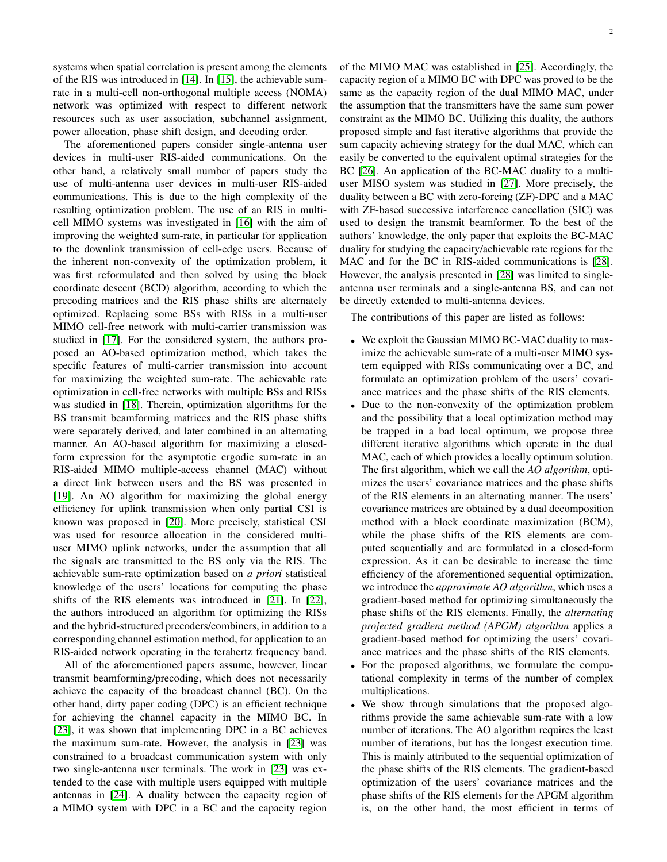systems when spatial correlation is present among the elements of the RIS was introduced in [\[14\]](#page-13-13). In [\[15\]](#page-13-14), the achievable sumrate in a multi-cell non-orthogonal multiple access (NOMA) network was optimized with respect to different network resources such as user association, subchannel assignment, power allocation, phase shift design, and decoding order.

The aforementioned papers consider single-antenna user devices in multi-user RIS-aided communications. On the other hand, a relatively small number of papers study the use of multi-antenna user devices in multi-user RIS-aided communications. This is due to the high complexity of the resulting optimization problem. The use of an RIS in multicell MIMO systems was investigated in [\[16\]](#page-13-15) with the aim of improving the weighted sum-rate, in particular for application to the downlink transmission of cell-edge users. Because of the inherent non-convexity of the optimization problem, it was first reformulated and then solved by using the block coordinate descent (BCD) algorithm, according to which the precoding matrices and the RIS phase shifts are alternately optimized. Replacing some BSs with RISs in a multi-user MIMO cell-free network with multi-carrier transmission was studied in [\[17\]](#page-13-16). For the considered system, the authors proposed an AO-based optimization method, which takes the specific features of multi-carrier transmission into account for maximizing the weighted sum-rate. The achievable rate optimization in cell-free networks with multiple BSs and RISs was studied in [\[18\]](#page-13-17). Therein, optimization algorithms for the BS transmit beamforming matrices and the RIS phase shifts were separately derived, and later combined in an alternating manner. An AO-based algorithm for maximizing a closedform expression for the asymptotic ergodic sum-rate in an RIS-aided MIMO multiple-access channel (MAC) without a direct link between users and the BS was presented in [\[19\]](#page-13-18). An AO algorithm for maximizing the global energy efficiency for uplink transmission when only partial CSI is known was proposed in [\[20\]](#page-13-19). More precisely, statistical CSI was used for resource allocation in the considered multiuser MIMO uplink networks, under the assumption that all the signals are transmitted to the BS only via the RIS. The achievable sum-rate optimization based on *a priori* statistical knowledge of the users' locations for computing the phase shifts of the RIS elements was introduced in [\[21\]](#page-13-20). In [\[22\]](#page-13-21), the authors introduced an algorithm for optimizing the RISs and the hybrid-structured precoders/combiners, in addition to a corresponding channel estimation method, for application to an RIS-aided network operating in the terahertz frequency band.

All of the aforementioned papers assume, however, linear transmit beamforming/precoding, which does not necessarily achieve the capacity of the broadcast channel (BC). On the other hand, dirty paper coding (DPC) is an efficient technique for achieving the channel capacity in the MIMO BC. In [\[23\]](#page-13-22), it was shown that implementing DPC in a BC achieves the maximum sum-rate. However, the analysis in [\[23\]](#page-13-22) was constrained to a broadcast communication system with only two single-antenna user terminals. The work in [\[23\]](#page-13-22) was extended to the case with multiple users equipped with multiple antennas in [\[24\]](#page-13-23). A duality between the capacity region of a MIMO system with DPC in a BC and the capacity region of the MIMO MAC was established in [\[25\]](#page-13-24). Accordingly, the capacity region of a MIMO BC with DPC was proved to be the same as the capacity region of the dual MIMO MAC, under the assumption that the transmitters have the same sum power constraint as the MIMO BC. Utilizing this duality, the authors proposed simple and fast iterative algorithms that provide the sum capacity achieving strategy for the dual MAC, which can easily be converted to the equivalent optimal strategies for the BC [\[26\]](#page-13-25). An application of the BC-MAC duality to a multiuser MISO system was studied in [\[27\]](#page-13-26). More precisely, the duality between a BC with zero-forcing (ZF)-DPC and a MAC with ZF-based successive interference cancellation (SIC) was used to design the transmit beamformer. To the best of the authors' knowledge, the only paper that exploits the BC-MAC duality for studying the capacity/achievable rate regions for the MAC and for the BC in RIS-aided communications is [\[28\]](#page-13-27). However, the analysis presented in [\[28\]](#page-13-27) was limited to singleantenna user terminals and a single-antenna BS, and can not be directly extended to multi-antenna devices.

The contributions of this paper are listed as follows:

- We exploit the Gaussian MIMO BC-MAC duality to maximize the achievable sum-rate of a multi-user MIMO system equipped with RISs communicating over a BC, and formulate an optimization problem of the users' covariance matrices and the phase shifts of the RIS elements.
- Due to the non-convexity of the optimization problem and the possibility that a local optimization method may be trapped in a bad local optimum, we propose three different iterative algorithms which operate in the dual MAC, each of which provides a locally optimum solution. The first algorithm, which we call the *AO algorithm*, optimizes the users' covariance matrices and the phase shifts of the RIS elements in an alternating manner. The users' covariance matrices are obtained by a dual decomposition method with a block coordinate maximization (BCM), while the phase shifts of the RIS elements are computed sequentially and are formulated in a closed-form expression. As it can be desirable to increase the time efficiency of the aforementioned sequential optimization, we introduce the *approximate AO algorithm*, which uses a gradient-based method for optimizing simultaneously the phase shifts of the RIS elements. Finally, the *alternating projected gradient method (APGM) algorithm* applies a gradient-based method for optimizing the users' covariance matrices and the phase shifts of the RIS elements.
- For the proposed algorithms, we formulate the computational complexity in terms of the number of complex multiplications.
- We show through simulations that the proposed algorithms provide the same achievable sum-rate with a low number of iterations. The AO algorithm requires the least number of iterations, but has the longest execution time. This is mainly attributed to the sequential optimization of the phase shifts of the RIS elements. The gradient-based optimization of the users' covariance matrices and the phase shifts of the RIS elements for the APGM algorithm is, on the other hand, the most efficient in terms of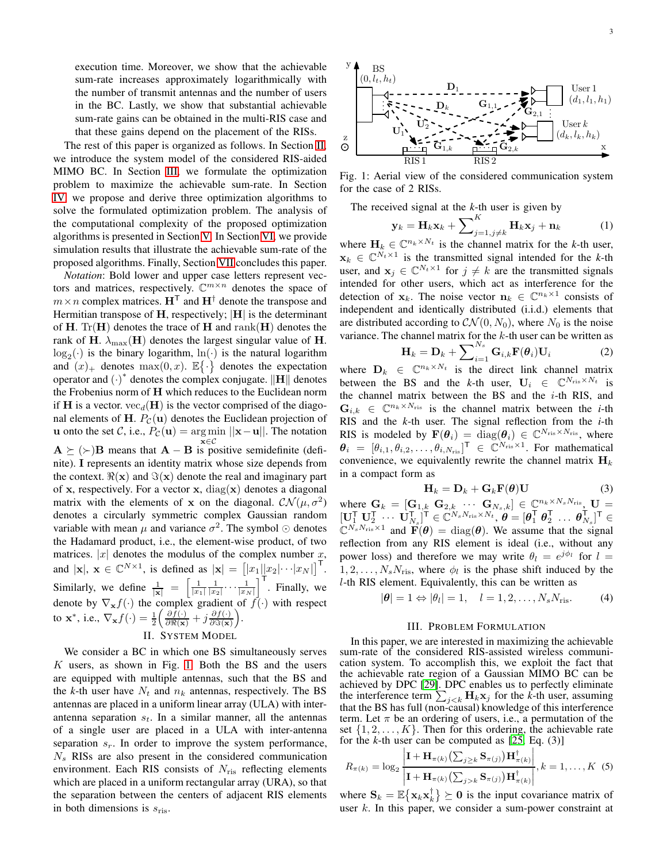execution time. Moreover, we show that the achievable sum-rate increases approximately logarithmically with the number of transmit antennas and the number of users in the BC. Lastly, we show that substantial achievable sum-rate gains can be obtained in the multi-RIS case and that these gains depend on the placement of the RISs.

The rest of this paper is organized as follows. In Section [II,](#page-2-0) we introduce the system model of the considered RIS-aided MIMO BC. In Section [III,](#page-2-1) we formulate the optimization problem to maximize the achievable sum-rate. In Section [IV,](#page-3-0) we propose and derive three optimization algorithms to solve the formulated optimization problem. The analysis of the computational complexity of the proposed optimization algorithms is presented in Section [V.](#page-7-0) In Section [VI,](#page-7-1) we provide simulation results that illustrate the achievable sum-rate of the proposed algorithms. Finally, Section [VII](#page-11-0) concludes this paper.

*Notation*: Bold lower and upper case letters represent vectors and matrices, respectively.  $\mathbb{C}^{m \times n}$  denotes the space of  $m \times n$  complex matrices.  $H<sup>T</sup>$  and  $H<sup>\dagger</sup>$  denote the transpose and Hermitian transpose of  $H$ , respectively;  $|H|$  is the determinant of H. Tr( $H$ ) denotes the trace of H and rank( $H$ ) denotes the rank of H.  $\lambda_{\text{max}}(H)$  denotes the largest singular value of H.  $\log_2(\cdot)$  is the binary logarithm,  $\ln(\cdot)$  is the natural logarithm and  $(x)$  denotes  $\max(0, x)$ .  $\mathbb{E}\{\cdot\}$  denotes the expectation operator and  $(\cdot)^*$  denotes the complex conjugate.  $\|\mathbf{H}\|$  denotes the Frobenius norm of H which reduces to the Euclidean norm if H is a vector.  $vec_d(H)$  is the vector comprised of the diagonal elements of H.  $P_{\mathcal{C}}(\mathbf{u})$  denotes the Euclidean projection of **u** onto the set C, i.e.,  $P_{\mathcal{C}}(\mathbf{u}) = \arg \min ||\mathbf{x} - \mathbf{u}||$ . The notation x∈C  $A \succeq (\succ)B$  means that  $A - B$  is positive semidefinite (definite). I represents an identity matrix whose size depends from the context.  $\Re(\mathbf{x})$  and  $\Im(\mathbf{x})$  denote the real and imaginary part of x, respectively. For a vector x,  $diag(x)$  denotes a diagonal matrix with the elements of x on the diagonal.  $\mathcal{CN}(\mu, \sigma^2)$ denotes a circularly symmetric complex Gaussian random variable with mean  $\mu$  and variance  $\sigma^2$ . The symbol  $\odot$  denotes the Hadamard product, i.e., the element-wise product, of two matrices.  $|x|$  denotes the modulus of the complex number x, and  $|\mathbf{x}|, \mathbf{x} \in \mathbb{C}^{N \times 1}$ , is defined as  $|\mathbf{x}| = [ |x_1||x_2|\cdots|x_N| ]^{\top}$ . Similarly, we define  $\frac{1}{|\mathbf{x}|} = \left[\frac{1}{|x_1|} \frac{1}{|x_2|} \cdots \frac{1}{|x_N|} \right]^{\mathrm{T}}$ . Finally, we denote by  $\nabla_{\mathbf{x}} f(\cdot)$  the complex gradient of  $f(\cdot)$  with respect to  $\mathbf{x}^*$ , i.e.,  $\nabla_{\mathbf{x}} f(\cdot) = \frac{1}{2}$  $\left(\frac{\partial f(\cdot)}{\partial \Re(\mathbf{x})}+j\frac{\partial f(\cdot)}{\partial \Im(\mathbf{x})}\right)$  . II. SYSTEM MODEL

<span id="page-2-0"></span>We consider a BC in which one BS simultaneously serves  $K$  users, as shown in Fig. [1.](#page-2-2) Both the BS and the users are equipped with multiple antennas, such that the BS and the *k*-th user have  $N_t$  and  $n_k$  antennas, respectively. The BS antennas are placed in a uniform linear array (ULA) with interantenna separation  $s_t$ . In a similar manner, all the antennas of a single user are placed in a ULA with inter-antenna separation  $s_r$ . In order to improve the system performance,  $N<sub>s</sub>$  RISs are also present in the considered communication environment. Each RIS consists of  $N_{\text{ris}}$  reflecting elements which are placed in a uniform rectangular array (URA), so that the separation between the centers of adjacent RIS elements in both dimensions is  $s_{\text{ris}}$ .

<span id="page-2-2"></span>

Fig. 1: Aerial view of the considered communication system for the case of 2 RISs.

The received signal at the *k*-th user is given by

$$
\mathbf{y}_k = \mathbf{H}_k \mathbf{x}_k + \sum_{j=1, j \neq k}^K \mathbf{H}_k \mathbf{x}_j + \mathbf{n}_k \tag{1}
$$

where  $\mathbf{H}_k \in \mathbb{C}^{n_k \times N_t}$  is the channel matrix for the *k*-th user,  $x_k \in \mathbb{C}^{N_t \times 1}$  is the transmitted signal intended for the *k*-th user, and  $x_j \in \mathbb{C}^{N_t \times 1}$  for  $j \neq k$  are the transmitted signals intended for other users, which act as interference for the detection of  $\mathbf{x}_k$ . The noise vector  $\mathbf{n}_k \in \mathbb{C}^{n_k \times 1}$  consists of independent and identically distributed (i.i.d.) elements that are distributed according to  $\mathcal{CN}(0, N_0)$ , where  $N_0$  is the noise variance. The channel matrix for the  $k$ -th user can be written as

$$
\mathbf{H}_k = \mathbf{D}_k + \sum_{i=1}^{N_s} \mathbf{G}_{i,k} \mathbf{F}(\theta_i) \mathbf{U}_i
$$
 (2)

where  $D_k \in \mathbb{C}^{n_k \times N_t}$  is the direct link channel matrix between the BS and the *k*-th user,  $U_i \in \mathbb{C}^{N_{\text{ris}} \times N_t}$  is the channel matrix between the BS and the  $i$ -th RIS, and  $G_{i,k} \in \mathbb{C}^{n_k \times N_{\text{ris}}}$  is the channel matrix between the *i*-th RIS and the *k*-th user. The signal reflection from the *i*-th RIS is modeled by  $\mathbf{F}(\theta_i) = \text{diag}(\theta_i) \in \mathbb{C}^{N_{\text{ris}} \times N_{\text{ris}}},$  where  $\theta_i = [\theta_{i,1}, \theta_{i,2}, \dots, \theta_{i,N_{\text{ris}}}]^{\mathsf{T}} \in \widetilde{\mathbb{C}}^{N_{\text{ris}} \times 1}$ . For mathematical convenience, we equivalently rewrite the channel matrix  $H_k$ in a compact form as

<span id="page-2-3"></span>
$$
\mathbf{H}_k = \mathbf{D}_k + \mathbf{G}_k \mathbf{F}(\boldsymbol{\theta}) \mathbf{U} \tag{3}
$$

where  $\mathbf{G}_k = [\mathbf{G}_{1,k} \ \mathbf{G}_{2,k} \ \cdots \ \mathbf{G}_{N_s,k}] \in \mathbb{C}^{n_k \times N_s N_{\text{ris}}}, \ \mathbf{U} =$  $[\mathbf{U}_1^\mathsf{T} \ \mathbf{U}_2^\mathsf{T} \ \cdots \ \mathbf{U}_{N_s}^\mathsf{T}]^\mathsf{T} \in \mathbb{C}^{N_s N_\mathrm{ris} \times N_t^\mathsf{T}}, \bm{\theta} = [\bm{\theta}_1^\mathsf{T} \ \bm{\theta}_2^\mathsf{T}]$  $\frac{\mathsf{T}}{2}$  ...  $\boldsymbol{\theta}_N^{\mathsf{T}}$  $_{N_{s}}^{\mathsf{T}}] ^{\mathsf{T}} \in$  $\mathbb{C}^{\tilde{N}_s\tilde{N}_{\text{ris}}\times 1}$  and  $\mathbf{F}(\theta) = \text{diag}(\theta)$ . We assume that the signal reflection from any RIS element is ideal (i.e., without any power loss) and therefore we may write  $\theta_l = e^{j\phi_l}$  for  $l =$  $1, 2, \ldots, N_s N_{\text{ris}}$ , where  $\phi_l$  is the phase shift induced by the l-th RIS element. Equivalently, this can be written as

$$
|\boldsymbol{\theta}| = 1 \Leftrightarrow |\theta_l| = 1, \quad l = 1, 2, \dots, N_s N_{\text{ris}}.
$$
 (4)

#### III. PROBLEM FORMULATION

<span id="page-2-1"></span>In this paper, we are interested in maximizing the achievable sum-rate of the considered RIS-assisted wireless communication system. To accomplish this, we exploit the fact that the achievable rate region of a Gaussian MIMO BC can be achieved by DPC [\[29\]](#page-13-28). DPC enables us to perfectly eliminate the interference term  $\sum_{j \lt k} \mathbf{H}_k \mathbf{x}_j$  for the *k*-th user, assuming that the BS has full (non-causal) knowledge of this interference term. Let  $\pi$  be an ordering of users, i.e., a permutation of the set  $\{1, 2, \ldots, K\}$ . Then for this ordering, the achievable rate for the *k*-th user can be computed as [\[25,](#page-13-24) Eq. (3)]

$$
R_{\pi(k)} = \log_2 \frac{\left|\mathbf{I} + \mathbf{H}_{\pi(k)}\left(\sum_{j\geq k} \mathbf{S}_{\pi(j)}\right) \mathbf{H}_{\pi(k)}^{\dagger}\right|}{\left|\mathbf{I} + \mathbf{H}_{\pi(k)}\left(\sum_{j>k} \mathbf{S}_{\pi(j)}\right) \mathbf{H}_{\pi(k)}^{\dagger}\right|}, k = 1, \dots, K \quad (5)
$$

where  $S_k = \mathbb{E} \{ \mathbf{x}_k \mathbf{x}_k^{\dagger} \} \succeq \mathbf{0}$  is the input covariance matrix of user  $k$ . In this paper, we consider a sum-power constraint at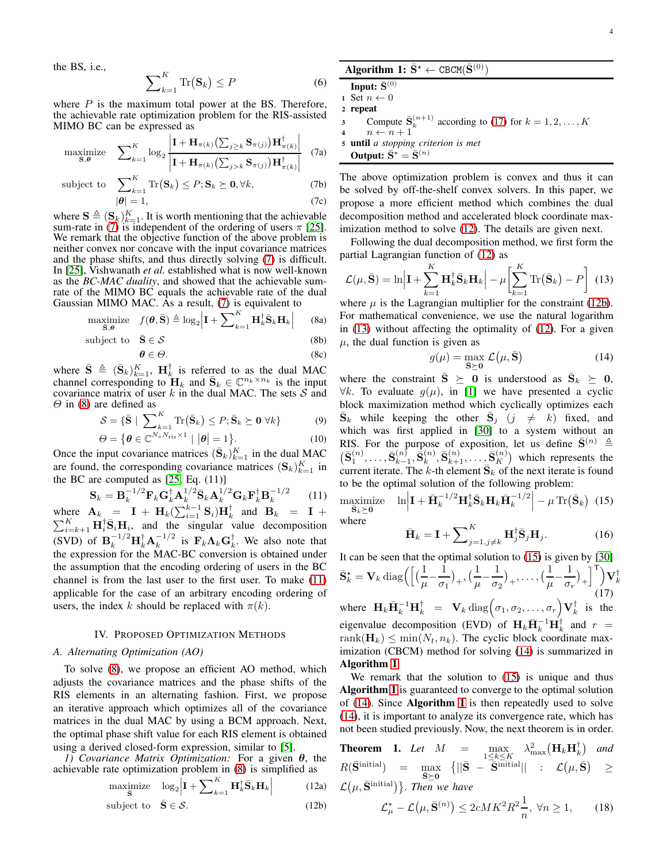the BS, i.e.,

<span id="page-3-1"></span>
$$
\sum_{k=1}^{K} \text{Tr}(\mathbf{S}_k) \le P \tag{6}
$$

where  $P$  is the maximum total power at the BS. Therefore, the achievable rate optimization problem for the RIS-assisted MIMO BC can be expressed as

$$
\begin{array}{ll}\text{maximize} & \sum_{k=1}^{K} \log_2 \frac{\left| \mathbf{I} + \mathbf{H}_{\pi(k)} \left( \sum_{j \geq k} \mathbf{S}_{\pi(j)} \right) \mathbf{H}_{\pi(k)}^{\dagger} \right|}{\left| \mathbf{I} + \mathbf{H}_{\pi(k)} \left( \sum_{j > k} \mathbf{S}_{\pi(j)} \right) \mathbf{H}_{\pi(k)}^{\dagger} \right|} \end{array} \tag{7a}
$$

subject to 
$$
\sum_{k=1}^{K} \text{Tr}(\mathbf{S}_k) \le P; \mathbf{S}_k \succeq \mathbf{0}, \forall k,
$$
 (7b)  

$$
|\theta| = 1,
$$
 (7c)

where  $\mathbf{S} \triangleq (\mathbf{S}_k)_{k=1}^K$ . It is worth mentioning that the achievable sum-rate in [\(7\)](#page-3-1) is independent of the ordering of users  $\pi$  [\[25\]](#page-13-24). We remark that the objective function of the above problem is neither convex nor concave with the input covariance matrices and the phase shifts, and thus directly solving [\(7\)](#page-3-1) is difficult. In [\[25\]](#page-13-24), Vishwanath *et al.* established what is now well-known as the *BC-MAC duality*, and showed that the achievable sumrate of the MIMO BC equals the achievable rate of the dual Gaussian MIMO MAC. As a result, [\(7\)](#page-3-1) is equivalent to

$$
\underset{\bar{\mathbf{S}},\boldsymbol{\theta}}{\text{maximize}} \quad f(\boldsymbol{\theta}, \bar{\mathbf{S}}) \triangleq \log_2 \left| \mathbf{I} + \sum_{k=1}^{K} \mathbf{H}_k^{\dagger} \bar{\mathbf{S}}_k \mathbf{H}_k \right| \qquad (8a)
$$

subject to 
$$
\bar{\mathbf{S}} \in \mathcal{S}
$$
 (8b)

$$
\boldsymbol{\theta} \in \Theta. \tag{8c}
$$

where  $\bar{\mathbf{S}} \triangleq (\bar{\mathbf{S}}_k)_{k=1}^K$ ,  $\mathbf{H}_k^{\dagger}$  is referred to as the dual MAC channel corresponding to  $\mathbf{H}_k$  and  $\bar{\mathbf{S}}_k \in \mathbb{C}^{n_k \times n_k}$  is the input covariance matrix of user  $k$  in the dual MAC. The sets  $S$  and  $\Theta$  in [\(8\)](#page-3-2) are defined as

$$
\mathcal{S} = \{\bar{\mathbf{S}} \mid \sum_{k=1}^{K} \text{Tr}(\bar{\mathbf{S}}_k) \le P; \bar{\mathbf{S}}_k \succeq \mathbf{0} \ \forall k\} \tag{9}
$$

$$
\Theta = \{ \boldsymbol{\theta} \in \mathbb{C}^{N_s N_{\text{ris}} \times 1} \mid |\boldsymbol{\theta}| = 1 \}. \tag{10}
$$

Once the input covariance matrices  $(\bar{S}_k)_{k=1}^K$  in the dual MAC are found, the corresponding covariance matrices  $(\mathbf{S}_k)_{k=1}^K$  in the BC are computed as  $[25, Eq. (11)]$ 

<span id="page-3-3"></span>
$$
\mathbf{S}_k = \mathbf{B}_k^{-1/2} \mathbf{F}_k \mathbf{G}_k^{\dagger} \mathbf{A}_k^{1/2} \bar{\mathbf{S}}_k \mathbf{A}_k^{1/2} \mathbf{G}_k \mathbf{F}_k^{\dagger} \mathbf{B}_k^{-1/2}
$$
 (11)

where  $\mathbf{A}_{k}$  =  $\mathbf{I} + \mathbf{H}_{k}(\sum_{i=1}^{k-1} \mathbf{S}_{i})\mathbf{H}_{k}^{\dagger}$  and  $\mathbf{B}_{k}$  =  $\mathbf{I}$  +  $\sum_{i=k+1}^{K} \mathbf{H}_{i}^{\dagger} \bar{\mathbf{S}}_{i} \mathbf{H}_{i}$ , and the singular value decomposition (SVD) of  $\mathbf{B}_k^{-1/2} \mathbf{H}_k^{\dagger} \mathbf{A}_k^{-1/2}$  $\frac{-1}{k}$  is  $\mathbf{F}_k \Lambda_k \mathbf{G}_k^{\dagger}$ . We also note that the expression for the MAC-BC conversion is obtained under the assumption that the encoding ordering of users in the BC channel is from the last user to the first user. To make [\(11\)](#page-3-3) applicable for the case of an arbitrary encoding ordering of users, the index k should be replaced with  $\pi(k)$ .

#### IV. PROPOSED OPTIMIZATION METHODS

#### <span id="page-3-0"></span>*A. Alternating Optimization (AO)*

To solve [\(8\)](#page-3-2), we propose an efficient AO method, which adjusts the covariance matrices and the phase shifts of the RIS elements in an alternating fashion. First, we propose an iterative approach which optimizes all of the covariance matrices in the dual MAC by using a BCM approach. Next, the optimal phase shift value for each RIS element is obtained using a derived closed-form expression, similar to [\[5\]](#page-13-4).

*1) Covariance Matrix Optimization:* For a given θ, the achievable rate optimization problem in [\(8\)](#page-3-2) is simplified as

$$
\underset{\bar{\mathbf{S}}}{\text{maximize}} \quad \underset{-}{\log_2} \left| \mathbf{I} + \sum_{k=1}^{K} \mathbf{H}_k^{\dagger} \bar{\mathbf{S}}_k \mathbf{H}_k \right| \tag{12a}
$$

subject to 
$$
\bar{\mathbf{S}} \in \mathcal{S}
$$
. (12b)

1 Set  $n \leftarrow 0$ <sup>2</sup> repeat 3 Compute  $\bar{S}_k^{(n+1)}$  according to [\(17\)](#page-3-4) for  $k = 1, 2, ..., K$ 4  $n \leftarrow n + 1$ <sup>5</sup> until *a stopping criterion is met* Output:  $\bar{S}^* = \bar{S}^{(n)}$ 

<span id="page-3-10"></span>Algorithm 1:  $\bar{\mathbf{S}}^{\star} \leftarrow \texttt{CBCM}(\bar{\mathbf{S}}^{(0)})$ 

Input:  $\bar{\mathbf{S}}^{(0)}$ 

The above optimization problem is convex and thus it can be solved by off-the-shelf convex solvers. In this paper, we propose a more efficient method which combines the dual decomposition method and accelerated block coordinate maximization method to solve [\(12\)](#page-3-5). The details are given next.

Following the dual decomposition method, we first form the partial Lagrangian function of [\(12\)](#page-3-5) as

<span id="page-3-7"></span>
$$
\mathcal{L}(\mu, \bar{\mathbf{S}}) = \ln \left| \mathbf{I} + \sum_{k=1}^{K} \mathbf{H}_{k}^{\dagger} \bar{\mathbf{S}}_{k} \mathbf{H}_{k} \right| - \mu \left[ \sum_{k=1}^{K} \text{Tr}(\bar{\mathbf{S}}_{k}) - P \right] (13)
$$

<span id="page-3-2"></span>where  $\mu$  is the Lagrangian multiplier for the constraint [\(12b\)](#page-3-6). For mathematical convenience, we use the natural logarithm in [\(13\)](#page-3-7) without affecting the optimality of [\(12\)](#page-3-5). For a given  $\mu$ , the dual function is given as

<span id="page-3-9"></span>
$$
g(\mu) = \max_{\bar{\mathbf{S}} \succeq \mathbf{0}} \mathcal{L}(\mu, \bar{\mathbf{S}})
$$
 (14)

where the constraint  $\bar{S} \succeq 0$  is understood as  $\bar{S}_k \succeq 0$ ,  $\forall k$ . To evaluate  $g(\mu)$ , in [\[1\]](#page-13-2) we have presented a cyclic block maximization method which cyclically optimizes each  $\bar{\mathbf{S}}_k$  while keeping the other  $\bar{\mathbf{S}}_j$   $(j \neq k)$  fixed, and which was first applied in [\[30\]](#page-13-29) to a system without an RIS. For the purpose of exposition, let us define  $\bar{S}^{(n)} \triangleq$  $\big(\bar{\mathbf{S}}^{(n)}_1,\ldots,\bar{\mathbf{S}}^{(n)}_{k-}\big)$  $_{k-1}^{(n)}, \bar{\mathbf{S}}_k^{(n)}$  $\bar{\mathbf{S}}^{(n)}_k, \bar{\mathbf{S}}^{(n)}_{k+1}, \ldots, \bar{\mathbf{S}}^{(n)}_K$  $\binom{n}{K}$  which represents the current iterate. The k-th element  $\overline{S}_k$  of the next iterate is found to be the optimal solution of the following problem:

 $\begin{aligned} \mathop{\mathrm{maximize}}_{\bar{\mathbf{S}}_k \succ \mathbf{0}} \end{aligned} \quad \ln \Bigl|\mathbf{I} + \bar{\mathbf{H}}_k^{-1/2} \mathbf{H}_k^\dagger \bar{\mathbf{S}}_k \mathbf{H}_k \bar{\mathbf{H}}_k^{-1/2} \Bigr|$  $\bar{\mathbf{S}}_k \succeq \mathbf{0}$  $\left[-\mu\operatorname{Tr}(\bar{\mathbf{S}}_k)\right]$  (15) where

<span id="page-3-11"></span><span id="page-3-8"></span>
$$
\bar{\mathbf{H}}_k = \mathbf{I} + \sum_{j=1, j \neq k}^{K} \mathbf{H}_j^{\dagger} \bar{\mathbf{S}}_j \mathbf{H}_j.
$$
 (16)

<span id="page-3-4"></span>It can be seen that the optimal solution to [\(15\)](#page-3-8) is given by [\[30\]](#page-13-29)  $\bar{\mathbf{S}}_k^{\star} = \mathbf{V}_k \operatorname{diag} \Big( \Big[ (\frac{1}{\mu} {-} \frac{1}{\sigma_1})$  $\sigma_1$  $\Big)_{+},\Big(\frac{1}{\mu}\Big)_{+}$  $\frac{1}{\mu}$ - $\frac{1}{\sigma_2}$  $\sigma_2$  $\big)_{+},\ldots,\big(\frac{1}{\mu}-\frac{1}{\sigma_{\eta}}\big)$  $\sigma_r$  $)_{+}$  $\left.\begin{matrix} \mathsf{T} \ \end{matrix}\right) \mathbf{V}_{k}^{\dagger}$ (17) where  $\mathbf{H}_k \overline{\mathbf{H}}_k^{-1} \mathbf{H}_k^{\dagger} = \mathbf{V}_k \operatorname{diag}(\sigma_1, \sigma_2, \dots, \sigma_r) \mathbf{V}_k^{\dagger}$  is the

eigenvalue decomposition (EVD) of  $\mathbf{H}_k \overline{\mathbf{H}}_k^{-1} \mathbf{H}_k^{\dagger}$  and  $r =$ rank $(\mathbf{H}_k) \leq \min(N_t, n_k)$ . The cyclic block coordinate maximization (CBCM) method for solving [\(14\)](#page-3-9) is summarized in Algorithm [1](#page-3-10).

We remark that the solution to  $(15)$  is unique and thus Algorithm [1](#page-3-10) is guaranteed to converge to the optimal solution of [\(14\)](#page-3-9). Since Algorithm [1](#page-3-10) is then repeatedly used to solve [\(14\)](#page-3-9), it is important to analyze its convergence rate, which has not been studied previously. Now, the next theorem is in order.

<span id="page-3-5"></span>**Theorem 1.** Let 
$$
M = \max_{1 \le k \le K} \lambda_{\max}^2 (\mathbf{H}_k \mathbf{H}_k^{\dagger})
$$
 and   
  $R(\bar{\mathbf{S}}^{\text{initial}}) = \max_{\bar{\mathbf{S}} \succeq \mathbf{0}} \{ ||\bar{\mathbf{S}} - \bar{\mathbf{S}}^{\text{initial}} || : \mathcal{L}(\mu, \bar{\mathbf{S}}) \ge$   
  $\mathcal{L}(\mu, \bar{\mathbf{S}}^{\text{initial}}) \}.$  Then we have

<span id="page-3-6"></span>
$$
\mathcal{L}_{\mu}^* - \mathcal{L}(\mu, \bar{\mathbf{S}}^{(n)}) \le 2cMK^2 R^2 \frac{1}{n}, \ \forall n \ge 1,\qquad(18)
$$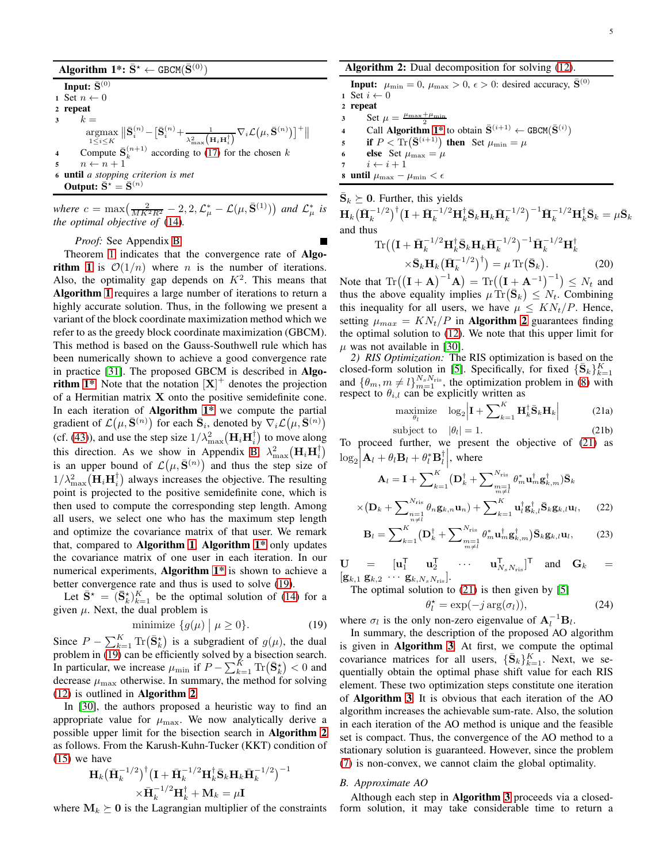|                | Algorithm 1 <sup>*</sup> : $\bar{S}^* \leftarrow$ GBCM( $\bar{S}^{(0)}$ )                                                                                                                                                                                                   |  |  |  |  |  |
|----------------|-----------------------------------------------------------------------------------------------------------------------------------------------------------------------------------------------------------------------------------------------------------------------------|--|--|--|--|--|
|                | Input: $\bar{S}^{(0)}$                                                                                                                                                                                                                                                      |  |  |  |  |  |
|                | 1 Set $n \leftarrow 0$                                                                                                                                                                                                                                                      |  |  |  |  |  |
|                | 2 repeat                                                                                                                                                                                                                                                                    |  |  |  |  |  |
|                | $k =$                                                                                                                                                                                                                                                                       |  |  |  |  |  |
|                | $\operatornamewithlimits{argmax}_{1 \leq i \leq K} \big\  \bar{\mathbf{S}}^{(n)}_i - \big[ \bar{\mathbf{S}}^{(n)}_i + \frac{1}{\lambda_{\max}^2 \big( \mathbf{H}_i \mathbf{H}_i^\dagger \big)} \nabla_i \mathcal{L}\big(\mu, \bar{\mathbf{S}}^{(n)} \big) \big]^{+} \big\ $ |  |  |  |  |  |
| $\overline{4}$ | Compute $\bar{S}_k^{(n+1)}$ according to (17) for the chosen k                                                                                                                                                                                                              |  |  |  |  |  |
| 5              | $n \leftarrow n + 1$                                                                                                                                                                                                                                                        |  |  |  |  |  |
|                | 6 <b>until</b> a stopping criterion is met                                                                                                                                                                                                                                  |  |  |  |  |  |
|                | Output: $\bar{S}^* = \bar{S}^{(n)}$                                                                                                                                                                                                                                         |  |  |  |  |  |

<span id="page-4-0"></span>*where*  $c = \max(\frac{2}{MK^2R^2} - 2, 2, \mathcal{L}_{\mu}^* - \mathcal{L}(\mu, \bar{S}^{(1)}))$  and  $\mathcal{L}_{\mu}^*$  is *the optimal objective of* [\(14\)](#page-3-9)*.*

*Proof:* See Appendix [B.](#page-12-0)

Theorem [1](#page-5-0) indicates that the convergence rate of Algo-rithm [1](#page-3-10) is  $\mathcal{O}(1/n)$  where *n* is the number of iterations. Also, the optimality gap depends on  $K^2$ . This means that Algorithm [1](#page-3-10) requires a large number of iterations to return a highly accurate solution. Thus, in the following we present a variant of the block coordinate maximization method which we refer to as the greedy block coordinate maximization (GBCM). This method is based on the Gauss-Southwell rule which has been numerically shown to achieve a good convergence rate in practice [\[31\]](#page-13-30). The proposed GBCM is described in Algo**rithm 1**\*. Note that the notation  $[X]^+$  denotes the projection of a Hermitian matrix  $X$  onto the positive semidefinite cone. In each iteration of **Algorithm**  $1*$  we compute the partial gradient of  $\mathcal{L}(\mu, \bar{\mathbf{S}}^{(n)})$  for each  $\bar{\mathbf{S}}_i$ , denoted by  $\nabla_i \mathcal{L}(\mu, \bar{\mathbf{S}}^{(n)})$ (cf. [\(43\)](#page-12-1)), and use the step size  $1/\lambda_{\text{max}}^2(\mathbf{H}_i \mathbf{H}_i^{\dagger})$  to move along this direction. As we show in Appendix [B,](#page-12-0)  $\lambda_{\text{max}}^2(\mathbf{H}_i \mathbf{H}_i^{\dagger})$ is an upper bound of  $\mathcal{L}(\mu, \bar{\mathbf{S}}^{(n)})$  and thus the step size of  $1/\lambda_{\text{max}}^2(\mathbf{H}_i\mathbf{H}_i^{\dagger})$  always increases the objective. The resulting point is projected to the positive semidefinite cone, which is then used to compute the corresponding step length. Among all users, we select one who has the maximum step length and optimize the covariance matrix of that user. We remark that, compared to Algorithm [1](#page-3-10), Algorithm [1\\*](#page-4-0) only updates the covariance matrix of one user in each iteration. In our numerical experiments, **Algorithm 1**\* is shown to achieve a better convergence rate and thus is used to solve [\(19\)](#page-4-1).

Let  $\bar{S}^* = (\bar{S}_k^*)_{k=1}^K$  be the optimal solution of [\(14\)](#page-3-9) for a given  $\mu$ . Next, the dual problem is

<span id="page-4-1"></span>
$$
\text{minimize } \{g(\mu) \mid \mu \ge 0\}. \tag{19}
$$

Since  $P - \sum_{k=1}^{K} \text{Tr}(\bar{S}_{k}^{*})$  is a subgradient of  $g(\mu)$ , the dual problem in [\(19\)](#page-4-1) can be efficiently solved by a bisection search. In particular, we increase  $\mu_{\min}$  if  $P - \sum_{k=1}^{K} \text{Tr}(\bar{S}_k^*) < 0$  and decrease  $\mu_{\text{max}}$  otherwise. In summary, the method for solving [\(12\)](#page-3-5) is outlined in Algorithm [2](#page-4-2).

In [\[30\]](#page-13-29), the authors proposed a heuristic way to find an appropriate value for  $\mu_{\text{max}}$ . We now analytically derive a possible upper limit for the bisection search in Algorithm [2](#page-4-2) as follows. From the Karush-Kuhn-Tucker (KKT) condition of [\(15\)](#page-3-8) we have

$$
\mathbf{H}_{k} \left(\bar{\mathbf{H}}_{k}^{-1/2}\right)^{\dagger} \left(\mathbf{I} + \bar{\mathbf{H}}_{k}^{-1/2} \mathbf{H}_{k}^{\dagger} \bar{\mathbf{S}}_{k} \mathbf{H}_{k} \bar{\mathbf{H}}_{k}^{-1/2}\right)^{-1} \times \bar{\mathbf{H}}_{k}^{-1/2} \mathbf{H}_{k}^{\dagger} + \mathbf{M}_{k} = \mu \mathbf{I}
$$

where  $M_k \succeq 0$  is the Lagrangian multiplier of the constraints

<span id="page-4-2"></span>Algorithm 2: Dual decomposition for solving [\(12\)](#page-3-5).

**Input:**  $\mu_{\min} = 0$ ,  $\mu_{\max} > 0$ ,  $\epsilon > 0$ : desired accuracy,  $\bar{S}^{(0)}$ 1 Set  $i \leftarrow 0$ <sup>2</sup> repeat 3 Set  $\mu = \frac{\mu_{\max} + \mu_{\min}}{2}$ 4 Call **Algorithm [1\\*](#page-4-0)** to obtain  $\bar{\mathbf{S}}^{(i+1)} \leftarrow \text{GECM}(\bar{\mathbf{S}}^{(i)})$ 5 if  $P < \text{Tr}(\bar{\mathbf{S}}^{(i+1)})$  then Set  $\mu_{\min} = \mu$ else Set  $\mu_{\max} = \mu$  $i \leftarrow i + 1$ 8 until  $\mu_{\max} - \mu_{\min} < \epsilon$ 

 $\bar{\mathbf{S}}_k \succeq \mathbf{0}$ . Further, this yields  ${\bf H}_k \big( \bar{\bf H}_k^{-1/2} \big)^\dagger \big( {\bf I} + \bar{\bf H}_k^{-1/2} {\bf H}_k^\dagger \bar{\bf S}_k {\bf H}_k \bar{\bf H}_k^{-1/2} \big)^{-1} \bar{\bf H}_k^{-1/2} {\bf H}_k^\dagger \bar{\bf S}_k = \mu \bar{\bf S}_k$ and thus  $\text{Tr}\big( (\mathbf{I} + \bar{\mathbf{H}}_k^{-1/2} \mathbf{H}_k^\dagger \bar{\mathbf{S}}_k \mathbf{H}_k \bar{\mathbf{H}}_k^{-1/2} \big)^{-1} \bar{\mathbf{H}}_k^{-1/2} \mathbf{H}_k^\dagger$  $\times \bar{\mathbf{S}}_k \mathbf{H}_k \big(\bar{\mathbf{H}}_k^{-1/2}\big)^\dagger\big)=\mu \operatorname{Tr} \bigl(\bar{\mathbf{S}}_k\bigr)$  $(20)$ Note that  $\text{Tr}\left(\left(\mathbf{I}+\mathbf{A}\right)^{-1}\mathbf{A}\right) = \text{Tr}\left(\left(\mathbf{I}+\mathbf{A}^{-1}\right)^{-1}\right) \leq N_t$  and

thus the above equality implies  $\mu \operatorname{Tr}(\bar{\mathbf{S}}_k) \leq N_t$ . Combining this inequality for all users, we have  $\mu \leq KN_t/P$ . Hence, setting  $\mu_{max} = KN_t/P$  in Algorithm [2](#page-4-2) guarantees finding the optimal solution to [\(12\)](#page-3-5). We note that this upper limit for  $\mu$  was not available in [\[30\]](#page-13-29).

*2) RIS Optimization:* The RIS optimization is based on the closed-form solution in [\[5\]](#page-13-4). Specifically, for fixed  $\{\bar{\mathbf{S}}_k\}_{k=1}^K$ and  $\{\theta_m, m \neq l\}_{m=1}^{N_s N_{\text{tris}}},$  the optimization problem in [\(8\)](#page-3-2) with respect to  $\theta_{i,l}$  can be explicitly written as

<span id="page-4-3"></span>
$$
\underset{\theta_l}{\text{maximize}} \quad \log_2 \left| \mathbf{I} + \sum_{k=1}^{K} \mathbf{H}_k^{\dagger} \bar{\mathbf{S}}_k \mathbf{H}_k \right| \tag{21a}
$$

subject to  $|\theta_l| = 1.$  (21b) To proceed further, we present the objective of [\(21\)](#page-4-3) as  $\log_2 \left| \mathbf{A}_l + \theta_l \mathbf{B}_l + \theta_l^* \mathbf{B}_l^{\dagger} \right|$  $\int$ , where

$$
\mathbf{A}_{l} = \mathbf{I} + \sum_{k=1}^{K} (\mathbf{D}_{k}^{\dagger} + \sum_{\substack{m=1 \ m \neq l}}^{N_{\text{ris}}} \theta_{m}^{*} \mathbf{u}_{m}^{\dagger} \mathbf{g}_{k,m}^{\dagger}) \bar{\mathbf{S}}_{k}
$$

$$
\times (\mathbf{D}_{k} + \sum_{\substack{n=1 \ n \neq l}}^{N_{\text{ris}}} \theta_{n} \mathbf{g}_{k,n} \mathbf{u}_{n}) + \sum_{k=1}^{K} \mathbf{u}_{l}^{\dagger} \mathbf{g}_{k,l}^{\dagger} \bar{\mathbf{S}}_{k} \mathbf{g}_{k,l} \mathbf{u}_{l}, \qquad (22)
$$

<span id="page-4-6"></span>
$$
\mathbf{B}_{l} = \sum\nolimits_{k=1}^{K} \left( \mathbf{D}_{k}^{\dagger} + \sum\nolimits_{\substack{m=1 \ m \neq l}}^{N_{\text{ris}}}\theta_{m}^{*} \mathbf{u}_{m}^{\dagger} \mathbf{g}_{k,m}^{\dagger} \right) \bar{\mathbf{S}}_{k} \mathbf{g}_{k,l} \mathbf{u}_{l},
$$
 (23)

 $\mathbf{U}$  =  $[\mathbf{u}_1^{\mathsf{T}}$   $\mathbf{u}_2^{\mathsf{T}}$   $\cdots$   $\mathbf{u}_N^{\mathsf{T}}$  $\prod_{N_s N_{\rm ris}}$ <sup>T</sup> and  $G_k$  =  $[g_{k,1} \ g_{k,2} \ \cdots \ g_{k,N_s N_{\text{ris}}}]$ .

The optimal solution to [\(21\)](#page-4-3) is then given by [\[5\]](#page-13-4)

<span id="page-4-5"></span><span id="page-4-4"></span>
$$
\theta_l^* = \exp(-j \arg(\sigma_l)),\tag{24}
$$

where  $\sigma_l$  is the only non-zero eigenvalue of  $A_l^{-1}B_l$ .

In summary, the description of the proposed AO algorithm is given in Algorithm [3](#page-5-1). At first, we compute the optimal covariance matrices for all users,  $\{\bar{\mathbf{S}}_k\}_{k=1}^K$ . Next, we sequentially obtain the optimal phase shift value for each RIS element. These two optimization steps constitute one iteration of Algorithm [3](#page-5-1). It is obvious that each iteration of the AO algorithm increases the achievable sum-rate. Also, the solution in each iteration of the AO method is unique and the feasible set is compact. Thus, the convergence of the AO method to a stationary solution is guaranteed. However, since the problem [\(7\)](#page-3-1) is non-convex, we cannot claim the global optimality.

#### *B. Approximate AO*

Although each step in **Algorithm [3](#page-5-1)** proceeds via a closedform solution, it may take considerable time to return a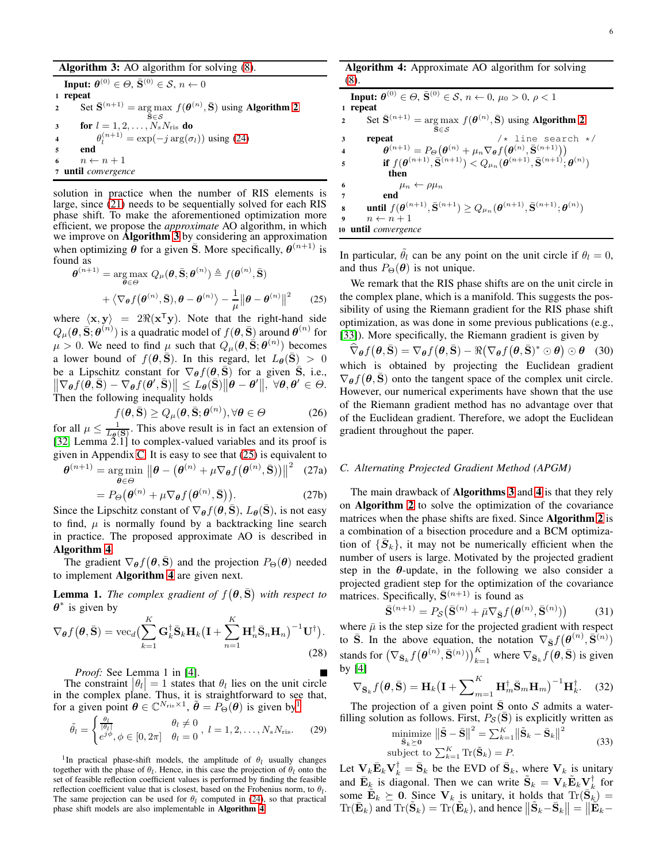<span id="page-5-1"></span>Algorithm 3: AO algorithm for solving [\(8\)](#page-3-2).

|                | <b>Input:</b> $\theta^{(0)} \in \Theta$ , $\bar{\mathbf{S}}^{(0)} \in \mathcal{S}$ , $n \leftarrow 0$       |
|----------------|-------------------------------------------------------------------------------------------------------------|
|                | 1 repeat                                                                                                    |
|                | Set $\bar{\mathbf{S}}^{(n+1)} = \arg \max f(\boldsymbol{\theta}^{(n)}, \bar{\mathbf{S}})$ using Algorithm 2 |
|                | $\bar{\mathbf{S}} \in \mathcal{S}$<br>for $l = 1, 2, \ldots, N_s N_{\text{ris}}$ do                         |
| $\overline{4}$ | $\theta_i^{(n+1)} = \exp(-j \arg(\sigma_l))$ using (24)                                                     |
|                | end                                                                                                         |
| 6              | $n \leftarrow n + 1$                                                                                        |
|                | 7 <b>until</b> <i>convergence</i>                                                                           |

solution in practice when the number of RIS elements is large, since  $(21)$  needs to be sequentially solved for each RIS phase shift. To make the aforementioned optimization more efficient, we propose the *approximate* AO algorithm, in which we improve on **Algorithm [3](#page-5-1)** by considering an approximation when optimizing  $\theta$  for a given  $\bar{S}$ . More specifically,  $\theta^{(n+1)}$  is found as

$$
\theta^{(n+1)} = \underset{\theta \in \Theta}{\arg \max} Q_{\mu}(\theta, \bar{\mathbf{S}}; \theta^{(n)}) \triangleq f(\theta^{(n)}, \bar{\mathbf{S}})
$$

$$
+ \langle \nabla_{\theta} f(\theta^{(n)}, \bar{\mathbf{S}}), \theta - \theta^{(n)} \rangle - \frac{1}{\mu} ||\theta - \theta^{(n)}||^2 \qquad (25)
$$

where  $\langle x, y \rangle = 2 \Re(x^{\mathsf{T}} y)$ . Note that the right-hand side  $Q_\mu(\boldsymbol{\theta},\bar{\mathbf{S}};\boldsymbol{\theta}^{(n)})$  is a quadratic model of  $f(\boldsymbol{\theta},\bar{\mathbf{S}})$  around  $\boldsymbol{\theta}^{(n)}$  for  $\mu > 0$ . We need to find  $\mu$  such that  $Q_{\mu}(\boldsymbol{\theta}, \bar{\mathbf{S}}; \boldsymbol{\theta}^{(n)})$  becomes a lower bound of  $f(\theta, \bar{S})$ . In this regard, let  $L_{\theta}(\bar{S}) > 0$ be a Lipschitz constant for  $\nabla_{\theta} f(\theta, \bar{S})$  for a given  $\bar{S}$ , i.e.,  $\left\|\nabla_{\boldsymbol{\theta}}f(\boldsymbol{\theta},\bar{\mathbf{S}})-\nabla_{\boldsymbol{\theta}}f(\boldsymbol{\theta}',\bar{\mathbf{S}})\right\|\leq L_{\boldsymbol{\theta}}(\bar{\mathbf{S}})\|\hat{\boldsymbol{\theta}}-\boldsymbol{\theta}'\|,~\forall \boldsymbol{\theta},\boldsymbol{\theta}'\in\Theta.$ Then the following inequality holds

<span id="page-5-9"></span>
$$
f(\boldsymbol{\theta}, \bar{\mathbf{S}}) \ge Q_{\mu}(\boldsymbol{\theta}, \bar{\mathbf{S}}; \boldsymbol{\theta}^{(n)}), \forall \boldsymbol{\theta} \in \Theta
$$
 (26)

for all  $\mu \leq \frac{1}{L_{\theta}(S)}$ . This above result is in fact an extension of [\[32,](#page-13-31) Lemma 2.1] to complex-valued variables and its proof is given in Appendix [C.](#page-12-2) It is easy to see that [\(25\)](#page-5-2) is equivalent to

$$
\boldsymbol{\theta}^{(n+1)} = \underset{\boldsymbol{\theta} \in \Theta}{\arg \min} \|\boldsymbol{\theta} - (\boldsymbol{\theta}^{(n)} + \mu \nabla_{\boldsymbol{\theta}} f(\boldsymbol{\theta}^{(n)}, \bar{\mathbf{S}}))\|^2 \quad (27a)
$$

$$
= P_{\Theta}(\boldsymbol{\theta}^{(n)} + \mu \nabla_{\boldsymbol{\theta}} f(\boldsymbol{\theta}^{(n)}, \bar{\mathbf{S}})).
$$
\n(27b)

Since the Lipschitz constant of  $\nabla_{\theta} f(\theta, \mathbf{S})$ ,  $L_{\theta}(\mathbf{S})$ , is not easy to find,  $\mu$  is normally found by a backtracking line search in practice. The proposed approximate AO is described in Algorithm [4](#page-5-3).

The gradient  $\nabla_{\theta} f(\theta, \bar{\mathbf{S}})$  and the projection  $P_{\Theta}(\theta)$  needed to implement Algorithm [4](#page-5-3) are given next.

<span id="page-5-0"></span>**Lemma 1.** The complex gradient of  $f(\theta, \bar{S})$  with respect to  $\theta^*$  is given by

<span id="page-5-7"></span>
$$
\nabla_{\boldsymbol{\theta}} f(\boldsymbol{\theta}, \bar{\mathbf{S}}) = \text{vec}_{d} \big( \sum_{k=1}^{K} \mathbf{G}_{k}^{\dagger} \bar{\mathbf{S}}_{k} \mathbf{H}_{k} \big( \mathbf{I} + \sum_{n=1}^{K} \mathbf{H}_{n}^{\dagger} \bar{\mathbf{S}}_{n} \mathbf{H}_{n} \big)^{-1} \mathbf{U}^{\dagger} \big).
$$
\n(28)

*Proof:* See Lemma 1 in [\[4\]](#page-13-3).

The constraint  $|\theta_l| = 1$  states that  $\theta_l$  lies on the unit circle in the complex plane. Thus, it is straightforward to see that, for a given point  $\boldsymbol{\theta} \in \mathbb{C}^{N_{\text{ris}} \times 1}$  $\boldsymbol{\theta} \in \mathbb{C}^{N_{\text{ris}} \times 1}$  $\boldsymbol{\theta} \in \mathbb{C}^{N_{\text{ris}} \times 1}$ ,  $\tilde{\boldsymbol{\theta}} = P_{\Theta}(\boldsymbol{\theta})$  is given by<sup>1</sup>

$$
\tilde{\theta}_{l} = \begin{cases}\n\frac{\theta_{l}}{|\theta_{l}|} & \theta_{l} \neq 0 \\
e^{j\phi}, \phi \in [0, 2\pi] & \theta_{l} = 0\n\end{cases}, l = 1, 2, \dots, N_{s}N_{\text{ris}}.\n\tag{29}
$$

<span id="page-5-4"></span><sup>1</sup>In practical phase-shift models, the amplitude of  $\theta_l$  usually changes together with the phase of  $\theta_l$ . Hence, in this case the projection of  $\theta_l$  onto the set of feasible reflection coefficient values is performed by finding the feasible reflection coefficient value that is closest, based on the Frobenius norm, to  $\theta_l$ . The same projection can be used for  $\theta_l$  computed in [\(24\)](#page-4-4), so that practical phase shift models are also implementable in Algorithm [4.](#page-5-3)

Algorithm 4: Approximate AO algorithm for solving [\(8\)](#page-3-2). Input:  $\boldsymbol{\theta}^{(0)} \in \Theta$ ,  $\bar{\mathbf{S}}^{(0)} \in \mathcal{S}$ ,  $n \leftarrow 0$ ,  $\mu_0 > 0$ ,  $\rho < 1$ 

<span id="page-5-3"></span><sup>1</sup> repeat 2 Set  $\bar{S}^{(n+1)} = \arg \max f(\theta^{(n)}, \bar{S})$  using Algorithm [2](#page-4-2)  $s \in S$ <br>3 **repeat**  $\begin{array}{ccc} s \in S & /* & \text{line} & \text{search} & * \end{array}$ 4  $\boldsymbol{\theta}^{(n+1)} = P_{\Theta}(\boldsymbol{\theta}^{(n)} + \mu_n \nabla_{\boldsymbol{\theta}} f(\boldsymbol{\theta}^{(n)}, \bar{\mathbf{S}}^{(n+1)}))$  $\mathbf{f} = \mathbf{f}(\boldsymbol{\theta}^{(n+1)}, \bar{\mathbf{S}}^{(n+1)}) < Q_{\mu_n}(\boldsymbol{\theta}^{(n+1)}, \bar{\mathbf{S}}^{(n+1)}; \boldsymbol{\theta}^{(n)})$ then 6  $\mu_n \leftarrow \rho \mu_n$ <sup>7</sup> end **8** until  $f(\theta^{(n+1)}, \bar{S}^{(n+1)}) \geq Q_{\mu_n}(\theta^{(n+1)}, \bar{S}^{(n+1)}; \theta^{(n)})$ 9  $n \leftarrow n + 1$ <sup>10</sup> until *convergence*

In particular,  $\ddot{\theta}_l$  can be any point on the unit circle if  $\theta_l = 0$ , and thus  $P_{\Theta}(\theta)$  is not unique.

<span id="page-5-2"></span>We remark that the RIS phase shifts are on the unit circle in the complex plane, which is a manifold. This suggests the possibility of using the Riemann gradient for the RIS phase shift optimization, as was done in some previous publications (e.g., [\[33\]](#page-13-32)). More specifically, the Riemann gradient is given by

 $\widehat{\nabla}_{\boldsymbol{\theta}} f(\boldsymbol{\theta}, \bar{\mathbf{S}}) = \nabla_{\boldsymbol{\theta}} f(\boldsymbol{\theta}, \bar{\mathbf{S}}) - \Re(\nabla_{\boldsymbol{\theta}} f(\boldsymbol{\theta}, \bar{\mathbf{S}})^* \odot \boldsymbol{\theta}) \odot \boldsymbol{\theta}$  (30) which is obtained by projecting the Euclidean gradient  $\nabla_{\theta} f(\theta, \bar{S})$  onto the tangent space of the complex unit circle. However, our numerical experiments have shown that the use of the Riemann gradient method has no advantage over that of the Euclidean gradient. Therefore, we adopt the Euclidean gradient throughout the paper.

#### *C. Alternating Projected Gradient Method (APGM)*

The main drawback of Algorithms [3](#page-5-1) and [4](#page-5-3) is that they rely on Algorithm [2](#page-4-2) to solve the optimization of the covariance matrices when the phase shifts are fixed. Since Algorithm [2](#page-4-2) is a combination of a bisection procedure and a BCM optimization of  $\{\bar{S}_k\}$ , it may not be numerically efficient when the number of users is large. Motivated by the projected gradient step in the  $\theta$ -update, in the following we also consider a projected gradient step for the optimization of the covariance matrices. Specifically,  $\bar{S}^{(n+1)}$  is found as

<span id="page-5-6"></span>
$$
\bar{\mathbf{S}}^{(n+1)} = P_{\mathcal{S}}(\bar{\mathbf{S}}^{(n)} + \bar{\mu}\nabla_{\bar{\mathbf{S}}}f(\boldsymbol{\theta}^{(n)}, \bar{\mathbf{S}}^{(n)}))
$$
(31)

where  $\bar{\mu}$  is the step size for the projected gradient with respect to  $\bar{S}$ . In the above equation, the notation  $\nabla_{\bar{S}} f(\theta^{(n)}, \bar{S}^{(n)})$ stands for  $(\nabla_{\bar{\bf S}_k} f({\bm \theta}^{(n)}, \bar{\bf S}^{(n)}))^K_{k=1}$  where  $\nabla_{\bar{\bf S}_k} f({\bm \theta}, \bar{\bf S})$  is given by [\[4\]](#page-13-3)

<span id="page-5-8"></span>
$$
\nabla_{\bar{\mathbf{S}}_k} f(\boldsymbol{\theta}, \bar{\mathbf{S}}) = \mathbf{H}_k \left( \mathbf{I} + \sum_{m=1}^K \mathbf{H}_m^\dagger \bar{\mathbf{S}}_m \mathbf{H}_m \right)^{-1} \mathbf{H}_k^\dagger. \tag{32}
$$

The projection of a given point  $\overline{S}$  onto S admits a waterfilling solution as follows. First,  $P_{\mathcal{S}}(\mathbf{S})$  is explicitly written as

<span id="page-5-5"></span>
$$
\begin{aligned}\n\minimize \|\tilde{\mathbf{S}} - \bar{\mathbf{S}}\|^2 &= \sum_{k=1}^K \|\tilde{\mathbf{S}}_k - \bar{\mathbf{S}}_k\|^2 \\
\text{subject to } \sum_{k=1}^K \text{Tr}(\tilde{\mathbf{S}}_k) &= P.\n\end{aligned} \tag{33}
$$

Let  $\mathbf{V}_k \mathbf{E}_k \mathbf{V}_k^{\dagger} = \mathbf{S}_k$  be the EVD of  $\mathbf{S}_k$ , where  $\mathbf{V}_k$  is unitary and  $\bar{\mathbf{E}}_k$  is diagonal. Then we can write  $\tilde{\mathbf{S}}_k = \mathbf{V}_k \tilde{\mathbf{E}}_k \mathbf{V}_k^{\dagger}$  for some  $\tilde{\mathbf{E}}_k \succeq 0$ . Since  $\mathbf{V}_k$  is unitary, it holds that  $\text{Tr}(\bar{\mathbf{S}}_k)$  =  $\text{Tr}(\bar{\mathbf{E}}_k)$  and  $\text{Tr}(\tilde{\mathbf{S}}_k) = \text{Tr}(\tilde{\mathbf{E}}_k)$ , and hence  $\|\tilde{\mathbf{S}}_k - \bar{\mathbf{S}}_k\| = \|\tilde{\mathbf{E}}_k - \bar{\mathbf{S}}_k\|$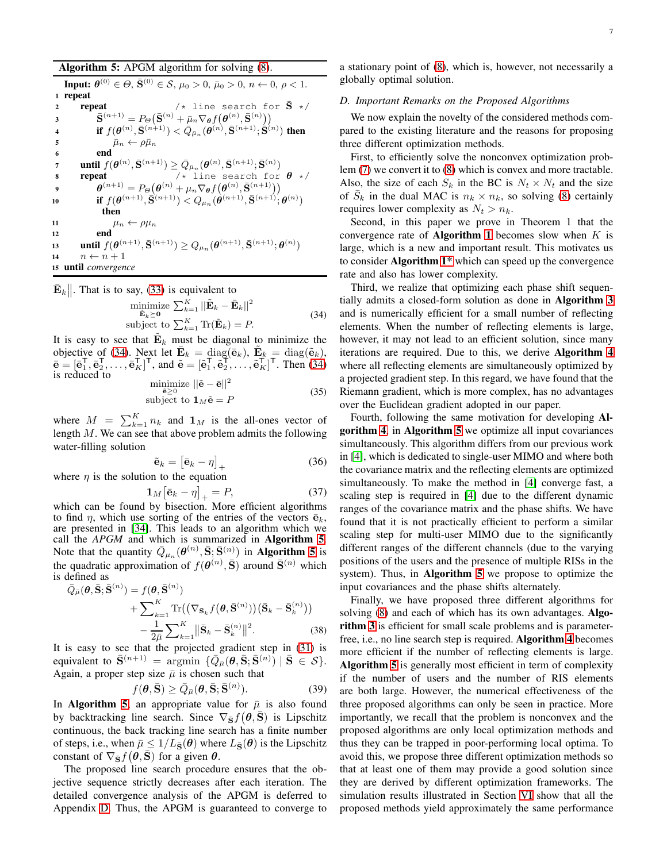<span id="page-6-1"></span>Algorithm 5: APGM algorithm for solving [\(8\)](#page-3-2).

<span id="page-6-2"></span>**Input:** 
$$
\theta^{(0)} \in \Theta
$$
,  $\bar{S}^{(0)} \in \mathcal{S}$ ,  $\mu_0 > 0$ ,  $\bar{\mu}_0 > 0$ ,  $n \leftarrow 0$ ,  $\rho < 1$ . **repeat**\n\n**repeat**\n $/ \star$  line search for  $\bar{S} \star / \bar{S}^{(n+1)} = P_{\Theta}(\bar{S}^{(n)} + \bar{\mu}_n \nabla_{\theta} f(\theta^{(n)}, \bar{S}^{(n)}))$ \n**then**\n\n**if**  $f(\theta^{(n)}, \bar{S}^{(n+1)}) < \bar{Q}_{\bar{\mu}_n}(\theta^{(n)}, \bar{S}^{(n+1)}; \bar{S}^{(n)})$  then  $\bar{\mu}_n \leftarrow \rho \bar{\mu}_n$ \n**end**\n**until**  $f(\theta^{(n)}, \bar{S}^{(n+1)}) \geq \bar{Q}_{\bar{\mu}_n}(\theta^{(n)}, \bar{S}^{(n+1)}; \bar{S}^{(n)})$ \n**se**\n**repeat**\n $/ \star$  line search for  $\theta \star / \theta^{(n+1)} = P_{\Theta}(\theta^{(n)} + \mu_n \nabla_{\theta} f(\theta^{(n)}, \bar{S}^{(n+1)}))$ \n**if**  $f(\theta^{(n+1)}, \bar{S}^{(n+1)}) < Q_{\mu_n}(\theta^{(n+1)}, \bar{S}^{(n+1)}; \theta^{(n)})$ \n**then**\n\n**11**\n**if**  $\mu_n \leftarrow \rho \mu_n$ \n**end**\n**until**  $f(\theta^{(n+1)}, \bar{S}^{(n+1)}) \geq Q_{\mu_n}(\theta^{(n+1)}, \bar{S}^{(n+1)}; \theta^{(n)})$ \n**12**\n**end**\n**until**  $f(\theta^{(n+1)}, \bar{S}^{(n+1)}) \geq Q_{\mu_n}(\theta^{(n+1)}, \bar{$ 

$$
\bar{\mathbf{E}}_k ||. \text{ That is to say, (33) is equivalent to}
$$
\n
$$
\underset{\tilde{\mathbf{E}}_k \succeq \mathbf{0}}{\text{minimize}} \sum_{k=1}^K ||\tilde{\mathbf{E}}_k - \bar{\mathbf{E}}_k||^2
$$
\n
$$
\text{subject to } \sum_{k=1}^K \text{Tr}(\tilde{\mathbf{E}}_k) = P. \tag{34}
$$

It is easy to see that  $\tilde{\mathbf{E}}_k$  must be diagonal to minimize the objective of [\(34\)](#page-6-0). Next let  $\bar{\mathbf{E}}_k = \text{diag}(\bar{\mathbf{e}}_k)$ ,  $\tilde{\mathbf{E}}_k = \text{diag}(\tilde{\mathbf{e}}_k)$ ,  $\mathbf{\bar{e}} = [\mathbf{\bar{e}}_1^{\mathsf{T}}, \mathbf{\bar{e}}_2^{\mathsf{T}}, \dots, \mathbf{\bar{e}}_K^{\mathsf{T}}]^{\mathsf{T}}$ , and  $\mathbf{\tilde{e}} = [\mathbf{\tilde{e}}_1^{\mathsf{T}}, \mathbf{\tilde{e}}_2^{\mathsf{T}}, \dots, \mathbf{\tilde{e}}_K^{\mathsf{T}}]^{\mathsf{T}}$ . Then [\(34\)](#page-6-0) is reduced to

<span id="page-6-0"></span>
$$
\begin{array}{ll}\n\text{minimize } ||\tilde{\mathbf{e}} - \bar{\mathbf{e}}||^2\\ \n\text{subject to } \mathbf{1}_M \tilde{\mathbf{e}} = P\n\end{array} \tag{35}
$$

where  $M = \sum_{k=1}^{K} n_k$  and  $\mathbf{1}_M$  is the all-ones vector of length M. We can see that above problem admits the following water-filling solution

$$
\tilde{\mathbf{e}}_k = \left[ \bar{\mathbf{e}}_k - \eta \right]_+ \tag{36}
$$

where  $\eta$  is the solution to the equation

 $\mathbf{1}$ 

$$
M\left[\bar{\mathbf{e}}_k - \eta\right]_+ = P,\tag{37}
$$

which can be found by bisection. More efficient algorithms to find *η*, which use sorting of the entries of the vectors  $\bar{\mathbf{e}}_k$ , are presented in [\[34\]](#page-13-33). This leads to an algorithm which we call the *APGM* and which is summarized in Algorithm [5](#page-6-1). Note that the quantity  $\bar{Q}_{\mu_n}(\theta^{(n)}, \bar{\mathbf{S}}; \bar{\mathbf{S}}^{(n)})$  in **Algorithm [5](#page-6-1)** is the quadratic approximation of  $f(\theta^{(n)}, \bar{S})$  around  $\bar{S}^{(n)}$  which is defined as

$$
\bar{Q}_{\bar{\mu}}(\boldsymbol{\theta}, \bar{\mathbf{S}}; \bar{\mathbf{S}}^{(n)}) = f(\boldsymbol{\theta}, \bar{\mathbf{S}}^{(n)}) \n+ \sum_{k=1}^{K} \text{Tr}((\nabla_{\bar{\mathbf{S}}_k} f(\boldsymbol{\theta}, \bar{\mathbf{S}}^{(n)}))(\bar{\mathbf{S}}_k - \bar{\mathbf{S}}_k^{(n)})) \n- \frac{1}{2\bar{\mu}} \sum_{k=1}^{K} ||\bar{\mathbf{S}}_k - \bar{\mathbf{S}}_k^{(n)}||^2.
$$
\n(38)

It is easy to see that the projected gradient step in [\(31\)](#page-5-6) is equivalent to  $\bar{\mathbf{S}}^{(n+1)}$  =  $\operatornamewithlimits{argmin} \ \{\bar{Q}_{\bar{\mu}}(\bm{\theta},\bar{\mathbf{S}};\bar{\mathbf{S}}^{(n)})\ |\ \bar{\mathbf{S}}\ \in\ \mathcal{S}\}.$ Again, a proper step size  $\bar{\mu}$  is chosen such that

$$
f(\boldsymbol{\theta}, \bar{\mathbf{S}}) \ge \bar{Q}_{\bar{\mu}}(\boldsymbol{\theta}, \bar{\mathbf{S}}; \bar{\mathbf{S}}^{(n)}).
$$
 (39)

In Algorithm [5](#page-6-1), an appropriate value for  $\bar{\mu}$  is also found by backtracking line search. Since  $\nabla_{\bar{\mathbf{S}}} f(\theta, \bar{\mathbf{S}})$  is Lipschitz continuous, the back tracking line search has a finite number of steps, i.e., when  $\bar{\mu} \leq 1/L_{\bar{S}}(\theta)$  where  $L_{\bar{S}}(\theta)$  is the Lipschitz constant of  $\nabla_{\bar{\mathbf{S}}} f(\theta, \bar{\mathbf{S}})$  for a given  $\theta$ .

The proposed line search procedure ensures that the objective sequence strictly decreases after each iteration. The detailed convergence analysis of the APGM is deferred to Appendix [D.](#page-12-3) Thus, the APGM is guaranteed to converge to

a stationary point of [\(8\)](#page-3-2), which is, however, not necessarily a globally optimal solution.

#### *D. Important Remarks on the Proposed Algorithms*

We now explain the novelty of the considered methods compared to the existing literature and the reasons for proposing three different optimization methods.

First, to efficiently solve the nonconvex optimization problem [\(7\)](#page-3-1) we convert it to [\(8\)](#page-3-2) which is convex and more tractable. Also, the size of each  $S_k$  in the BC is  $N_t \times N_t$  and the size of  $\overline{S}_k$  in the dual MAC is  $n_k \times n_k$ , so solving [\(8\)](#page-3-2) certainly requires lower complexity as  $N_t > n_k$ .

Second, in this paper we prove in Theorem 1 that the convergence rate of **Algorithm [1](#page-3-10)** becomes slow when  $K$  is large, which is a new and important result. This motivates us to consider Algorithm [1\\*](#page-4-0) which can speed up the convergence rate and also has lower complexity.

Third, we realize that optimizing each phase shift sequentially admits a closed-form solution as done in Algorithm [3](#page-5-1) and is numerically efficient for a small number of reflecting elements. When the number of reflecting elements is large, however, it may not lead to an efficient solution, since many iterations are required. Due to this, we derive Algorithm [4](#page-5-3) where all reflecting elements are simultaneously optimized by a projected gradient step. In this regard, we have found that the Riemann gradient, which is more complex, has no advantages over the Euclidean gradient adopted in our paper.

Fourth, following the same motivation for developing Algorithm [4](#page-5-3), in Algorithm [5](#page-6-1) we optimize all input covariances simultaneously. This algorithm differs from our previous work in [\[4\]](#page-13-3), which is dedicated to single-user MIMO and where both the covariance matrix and the reflecting elements are optimized simultaneously. To make the method in [\[4\]](#page-13-3) converge fast, a scaling step is required in [\[4\]](#page-13-3) due to the different dynamic ranges of the covariance matrix and the phase shifts. We have found that it is not practically efficient to perform a similar scaling step for multi-user MIMO due to the significantly different ranges of the different channels (due to the varying positions of the users and the presence of multiple RISs in the system). Thus, in **Algorithm [5](#page-6-1)** we propose to optimize the input covariances and the phase shifts alternately.

Finally, we have proposed three different algorithms for solving [\(8\)](#page-3-2) and each of which has its own advantages. Algorithm [3](#page-5-1) is efficient for small scale problems and is parameter-free, i.e., no line search step is required. Algorithm [4](#page-5-3) becomes more efficient if the number of reflecting elements is large. Algorithm [5](#page-6-1) is generally most efficient in term of complexity if the number of users and the number of RIS elements are both large. However, the numerical effectiveness of the three proposed algorithms can only be seen in practice. More importantly, we recall that the problem is nonconvex and the proposed algorithms are only local optimization methods and thus they can be trapped in poor-performing local optima. To avoid this, we propose three different optimization methods so that at least one of them may provide a good solution since they are derived by different optimization frameworks. The simulation results illustrated in Section [VI](#page-7-1) show that all the proposed methods yield approximately the same performance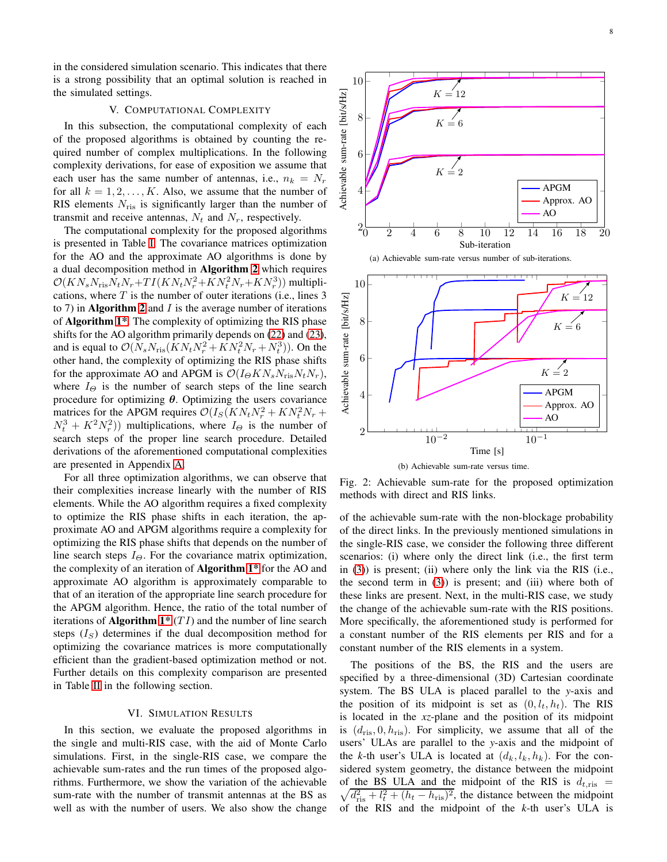<span id="page-7-0"></span>in the considered simulation scenario. This indicates that there is a strong possibility that an optimal solution is reached in the simulated settings.

#### V. COMPUTATIONAL COMPLEXITY

In this subsection, the computational complexity of each of the proposed algorithms is obtained by counting the required number of complex multiplications. In the following complexity derivations, for ease of exposition we assume that each user has the same number of antennas, i.e.,  $n_k = N_r$ for all  $k = 1, 2, \dots, K$ . Also, we assume that the number of RIS elements  $N_{\text{ris}}$  is significantly larger than the number of transmit and receive antennas,  $N_t$  and  $N_r$ , respectively.

The computational complexity for the proposed algorithms is presented in Table [I.](#page-8-0) The covariance matrices optimization for the AO and the approximate AO algorithms is done by a dual decomposition method in Algorithm [2](#page-4-2) which requires  $\mathcal{O}(KN_sN_{\rm{ris}}N_tN_r+TI(KN_tN_r^2+KN_t^2N_r+KN_r^3))$  multiplications, where  $T$  is the number of outer iterations (i.e., lines 3 to 7) in **Algorithm [2](#page-4-2)** and  $I$  is the average number of iterations of Algorithm [1\\*](#page-4-0). The complexity of optimizing the RIS phase shifts for the AO algorithm primarily depends on [\(22\)](#page-4-5) and [\(23\)](#page-4-6), and is equal to  $\mathcal{O}(N_s N_{\text{ris}} (KN_t N_r^2 + KN_t^2 N_r + N_t^3))$ . On the other hand, the complexity of optimizing the RIS phase shifts for the approximate AO and APGM is  $\mathcal{O}(I_{\Theta}KN_sN_{\text{ris}}N_tN_r)$ , where  $I_{\Theta}$  is the number of search steps of the line search procedure for optimizing  $\theta$ . Optimizing the users covariance matrices for the APGM requires  $\mathcal{O}(I_S(KN_tN_r^2 + KN_t^2N_r +$  $N_t^3 + K^2 N_r^2$ ) multiplications, where  $I_{\Theta}$  is the number of search steps of the proper line search procedure. Detailed derivations of the aforementioned computational complexities are presented in Appendix [A.](#page-11-1)

For all three optimization algorithms, we can observe that their complexities increase linearly with the number of RIS elements. While the AO algorithm requires a fixed complexity to optimize the RIS phase shifts in each iteration, the approximate AO and APGM algorithms require a complexity for optimizing the RIS phase shifts that depends on the number of line search steps  $I_{\Theta}$ . For the covariance matrix optimization, the complexity of an iteration of **Algorithm 1**\* for the AO and approximate AO algorithm is approximately comparable to that of an iteration of the appropriate line search procedure for the APGM algorithm. Hence, the ratio of the total number of iterations of **Algorithm 1**\*  $(TI)$  and the number of line search steps  $(I<sub>S</sub>)$  determines if the dual decomposition method for optimizing the covariance matrices is more computationally efficient than the gradient-based optimization method or not. Further details on this complexity comparison are presented in Table [II](#page-10-0) in the following section.

#### VI. SIMULATION RESULTS

<span id="page-7-1"></span>In this section, we evaluate the proposed algorithms in the single and multi-RIS case, with the aid of Monte Carlo simulations. First, in the single-RIS case, we compare the achievable sum-rates and the run times of the proposed algorithms. Furthermore, we show the variation of the achievable sum-rate with the number of transmit antennas at the BS as well as with the number of users. We also show the change

<span id="page-7-2"></span>





(b) Achievable sum-rate versus time.

Fig. 2: Achievable sum-rate for the proposed optimization methods with direct and RIS links.

of the achievable sum-rate with the non-blockage probability of the direct links. In the previously mentioned simulations in the single-RIS case, we consider the following three different scenarios: (i) where only the direct link (i.e., the first term in [\(3\)](#page-2-3)) is present; (ii) where only the link via the RIS (i.e., the second term in [\(3\)](#page-2-3)) is present; and (iii) where both of these links are present. Next, in the multi-RIS case, we study the change of the achievable sum-rate with the RIS positions. More specifically, the aforementioned study is performed for a constant number of the RIS elements per RIS and for a constant number of the RIS elements in a system.

The positions of the BS, the RIS and the users are specified by a three-dimensional (3D) Cartesian coordinate system. The BS ULA is placed parallel to the *y*-axis and the position of its midpoint is set as  $(0, l_t, h_t)$ . The RIS is located in the *xz*-plane and the position of its midpoint is  $(d_{\text{ris}}, 0, h_{\text{ris}})$ . For simplicity, we assume that all of the users' ULAs are parallel to the *y*-axis and the midpoint of the *k*-th user's ULA is located at  $(d_k, l_k, h_k)$ . For the considered system geometry, the distance between the midpoint  $\sqrt{d_{\text{ris}}^2 + l_t^2 + (h_t - h_{\text{ris}})^2}$ , the distance between the midpoint of the BS ULA and the midpoint of the RIS is  $d_{t,ris}$  = of the RIS and the midpoint of the *k*-th user's ULA is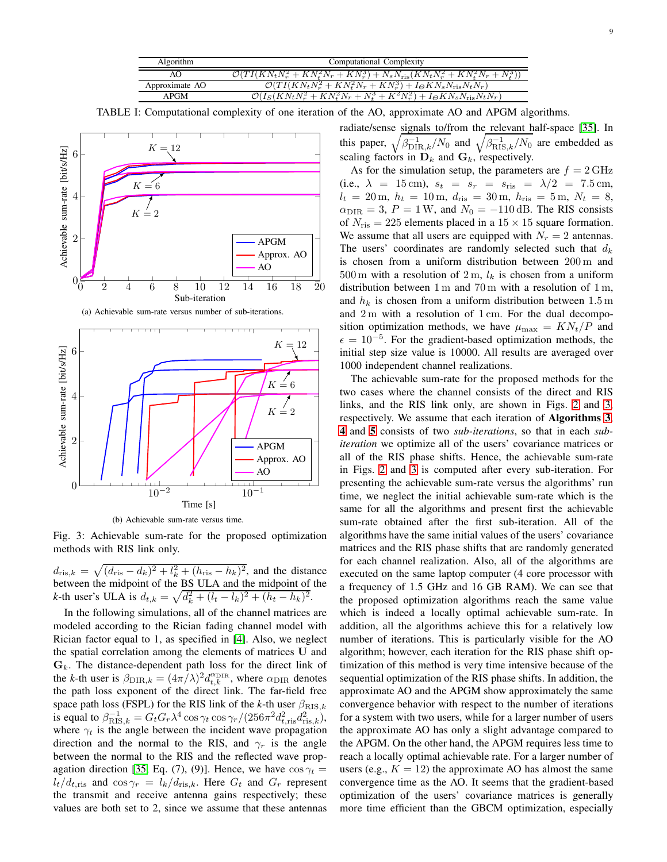<span id="page-8-0"></span>

TABLE I: Computational complexity of one iteration of the AO, approximate AO and APGM algorithms.

<span id="page-8-1"></span>

(a) Achievable sum-rate versus number of sub-iterations.



(b) Achievable sum-rate versus time.

Fig. 3: Achievable sum-rate for the proposed optimization methods with RIS link only.

 $d_{\text{ris},k} = \sqrt{(d_{\text{ris}} - d_k)^2 + l_k^2 + (h_{\text{ris}} - h_k)^2}$ , and the distance between the midpoint of the BS ULA and the midpoint of the *k*-th user's ULA is  $d_{t,k} = \sqrt{d_k^2 + (l_t - l_k)^2 + (h_t - h_k)^2}$ .

In the following simulations, all of the channel matrices are modeled according to the Rician fading channel model with Rician factor equal to 1, as specified in [\[4\]](#page-13-3). Also, we neglect the spatial correlation among the elements of matrices U and  $\mathbf{G}_k$ . The distance-dependent path loss for the direct link of the *k*-th user is  $\beta_{\text{DIR},k} = (4\pi/\lambda)^2 d_{t,k}^{\text{ADIR}}$ , where  $\alpha_{\text{DIR}}$  denotes the path loss exponent of the direct link. The far-field free space path loss (FSPL) for the RIS link of the *k*-th user  $\beta_{\text{RIS},k}$ is equal to  $\beta_{\text{RIS},k}^{-1} = G_t G_r \lambda^4 \cos \gamma_t \cos \gamma_r / (256 \pi^2 d_{t,\text{ris}}^2 d_{\text{ris},k}^2),$ where  $\gamma_t$  is the angle between the incident wave propagation direction and the normal to the RIS, and  $\gamma_r$  is the angle between the normal to the RIS and the reflected wave prop-agation direction [\[35,](#page-13-34) Eq. (7), (9)]. Hence, we have  $\cos \gamma_t =$  $l_t/d_{t,\text{ris}}$  and  $\cos \gamma_r = l_k/d_{\text{ris},k}$ . Here  $G_t$  and  $G_r$  represent the transmit and receive antenna gains respectively; these values are both set to 2, since we assume that these antennas radiate/sense signals to/from the relevant half-space [\[35\]](#page-13-34). In this paper,  $\sqrt{\beta_{\text{DIR},k}^{-1}/N_0}$  and  $\sqrt{\beta_{\text{RIS},k}^{-1}/N_0}$  are embedded as scaling factors in  $D_k$  and  $G_k$ , respectively.

As for the simulation setup, the parameters are  $f = 2 \text{ GHz}$ (i.e.,  $\lambda = 15$  cm),  $s_t = s_r = s_{\text{ris}} = \lambda/2 = 7.5$  cm,  $l_t = 20 \,\text{m}, h_t = 10 \,\text{m}, d_{\text{ris}} = 30 \,\text{m}, h_{\text{ris}} = 5 \,\text{m}, N_t = 8,$  $\alpha_{\text{DIR}} = 3$ ,  $P = 1$  W, and  $N_0 = -110$  dB. The RIS consists of  $N_{\text{ris}} = 225$  elements placed in a  $15 \times 15$  square formation. We assume that all users are equipped with  $N_r = 2$  antennas. The users' coordinates are randomly selected such that  $d_k$ is chosen from a uniform distribution between 200 m and 500 m with a resolution of 2 m,  $l_k$  is chosen from a uniform distribution between 1 m and 70 m with a resolution of 1 m, and  $h_k$  is chosen from a uniform distribution between 1.5 m and  $2 \text{ m}$  with a resolution of  $1 \text{ cm}$ . For the dual decomposition optimization methods, we have  $\mu_{\text{max}} = KN_t/P$  and  $\epsilon = 10^{-5}$ . For the gradient-based optimization methods, the initial step size value is 10000. All results are averaged over 1000 independent channel realizations.

The achievable sum-rate for the proposed methods for the two cases where the channel consists of the direct and RIS links, and the RIS link only, are shown in Figs. [2](#page-7-2) and [3,](#page-8-1) respectively. We assume that each iteration of Algorithms [3](#page-5-1), [4](#page-5-3) and [5](#page-6-1) consists of two *sub-iterations*, so that in each *subiteration* we optimize all of the users' covariance matrices or all of the RIS phase shifts. Hence, the achievable sum-rate in Figs. [2](#page-7-2) and [3](#page-8-1) is computed after every sub-iteration. For presenting the achievable sum-rate versus the algorithms' run time, we neglect the initial achievable sum-rate which is the same for all the algorithms and present first the achievable sum-rate obtained after the first sub-iteration. All of the algorithms have the same initial values of the users' covariance matrices and the RIS phase shifts that are randomly generated for each channel realization. Also, all of the algorithms are executed on the same laptop computer (4 core processor with a frequency of 1.5 GHz and 16 GB RAM). We can see that the proposed optimization algorithms reach the same value which is indeed a locally optimal achievable sum-rate. In addition, all the algorithms achieve this for a relatively low number of iterations. This is particularly visible for the AO algorithm; however, each iteration for the RIS phase shift optimization of this method is very time intensive because of the sequential optimization of the RIS phase shifts. In addition, the approximate AO and the APGM show approximately the same convergence behavior with respect to the number of iterations for a system with two users, while for a larger number of users the approximate AO has only a slight advantage compared to the APGM. On the other hand, the APGM requires less time to reach a locally optimal achievable rate. For a larger number of users (e.g.,  $K = 12$ ) the approximate AO has almost the same convergence time as the AO. It seems that the gradient-based optimization of the users' covariance matrices is generally more time efficient than the GBCM optimization, especially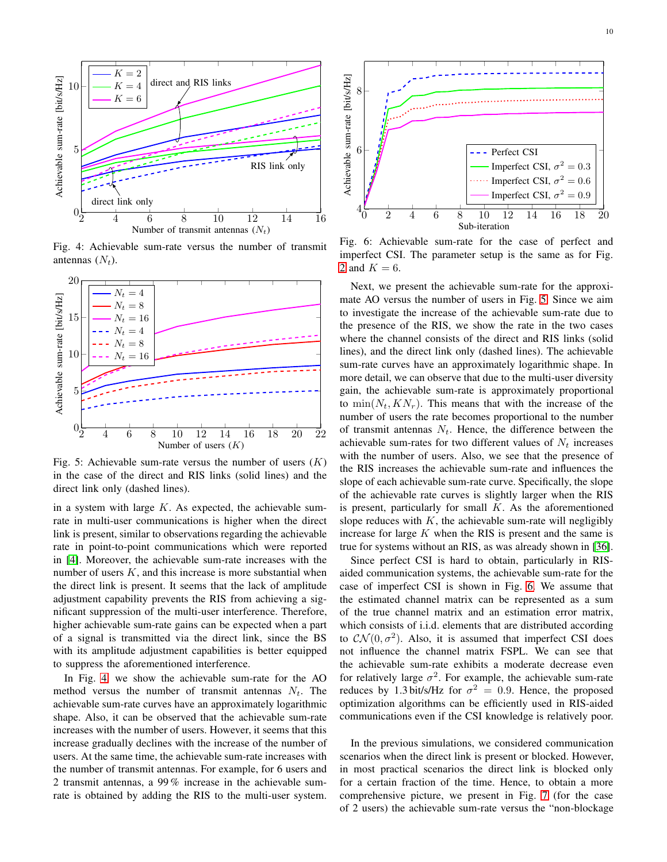<span id="page-9-0"></span>

Fig. 4: Achievable sum-rate versus the number of transmit antennas  $(N_t)$ .

<span id="page-9-1"></span>

Fig. 5: Achievable sum-rate versus the number of users  $(K)$ in the case of the direct and RIS links (solid lines) and the direct link only (dashed lines).

in a system with large  $K$ . As expected, the achievable sumrate in multi-user communications is higher when the direct link is present, similar to observations regarding the achievable rate in point-to-point communications which were reported in [\[4\]](#page-13-3). Moreover, the achievable sum-rate increases with the number of users  $K$ , and this increase is more substantial when the direct link is present. It seems that the lack of amplitude adjustment capability prevents the RIS from achieving a significant suppression of the multi-user interference. Therefore, higher achievable sum-rate gains can be expected when a part of a signal is transmitted via the direct link, since the BS with its amplitude adjustment capabilities is better equipped to suppress the aforementioned interference.

In Fig. [4,](#page-9-0) we show the achievable sum-rate for the AO method versus the number of transmit antennas  $N_t$ . The achievable sum-rate curves have an approximately logarithmic shape. Also, it can be observed that the achievable sum-rate increases with the number of users. However, it seems that this increase gradually declines with the increase of the number of users. At the same time, the achievable sum-rate increases with the number of transmit antennas. For example, for 6 users and 2 transmit antennas, a 99 % increase in the achievable sumrate is obtained by adding the RIS to the multi-user system.

<span id="page-9-2"></span>

Fig. 6: Achievable sum-rate for the case of perfect and imperfect CSI. The parameter setup is the same as for Fig. [2](#page-7-2) and  $K = 6$ .

Next, we present the achievable sum-rate for the approximate AO versus the number of users in Fig. [5.](#page-9-1) Since we aim to investigate the increase of the achievable sum-rate due to the presence of the RIS, we show the rate in the two cases where the channel consists of the direct and RIS links (solid lines), and the direct link only (dashed lines). The achievable sum-rate curves have an approximately logarithmic shape. In more detail, we can observe that due to the multi-user diversity gain, the achievable sum-rate is approximately proportional to  $\min(N_t, KN_r)$ . This means that with the increase of the number of users the rate becomes proportional to the number of transmit antennas  $N_t$ . Hence, the difference between the achievable sum-rates for two different values of  $N_t$  increases with the number of users. Also, we see that the presence of the RIS increases the achievable sum-rate and influences the slope of each achievable sum-rate curve. Specifically, the slope of the achievable rate curves is slightly larger when the RIS is present, particularly for small  $K$ . As the aforementioned slope reduces with  $K$ , the achievable sum-rate will negligibly increase for large  $K$  when the RIS is present and the same is true for systems without an RIS, as was already shown in [\[36\]](#page-13-35).

Since perfect CSI is hard to obtain, particularly in RISaided communication systems, the achievable sum-rate for the case of imperfect CSI is shown in Fig. [6.](#page-9-2) We assume that the estimated channel matrix can be represented as a sum of the true channel matrix and an estimation error matrix, which consists of i.i.d. elements that are distributed according to  $CN(0, \sigma^2)$ . Also, it is assumed that imperfect CSI does not influence the channel matrix FSPL. We can see that the achievable sum-rate exhibits a moderate decrease even for relatively large  $\sigma^2$ . For example, the achievable sum-rate reduces by 1.3 bit/s/Hz for  $\sigma^2 = 0.9$ . Hence, the proposed optimization algorithms can be efficiently used in RIS-aided communications even if the CSI knowledge is relatively poor.

In the previous simulations, we considered communication scenarios when the direct link is present or blocked. However, in most practical scenarios the direct link is blocked only for a certain fraction of the time. Hence, to obtain a more comprehensive picture, we present in Fig. [7](#page-10-1) (for the case of 2 users) the achievable sum-rate versus the "non-blockage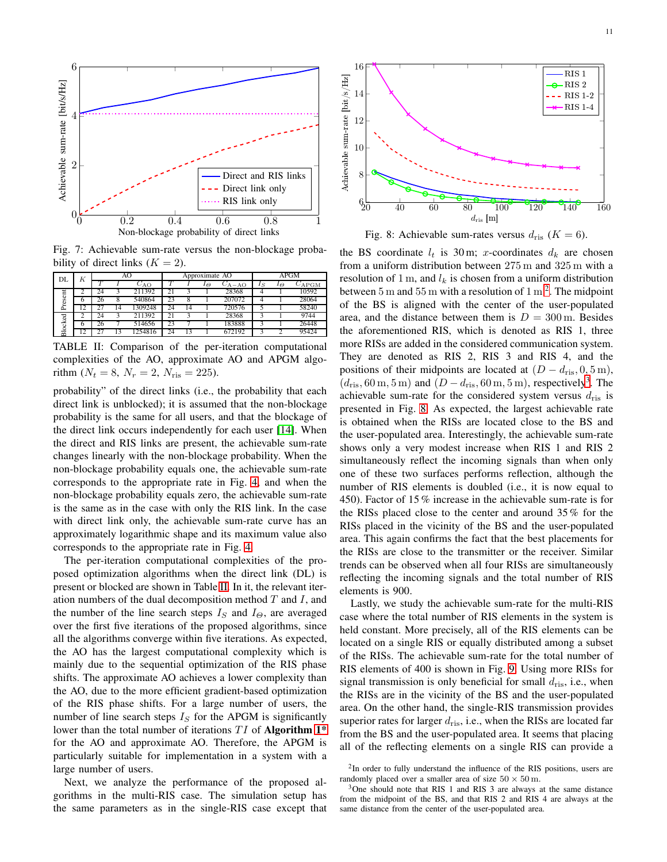<span id="page-10-1"></span>

Fig. 7: Achievable sum-rate versus the non-blockage probability of direct links  $(K = 2)$ .

<span id="page-10-0"></span>

| DL             | K | AO  |    | Approximate AO    |    |    | <b>APGM</b> |        |        |          |                |
|----------------|---|-----|----|-------------------|----|----|-------------|--------|--------|----------|----------------|
|                |   |     |    | $\rm \omega_{AO}$ |    |    | $\Theta$    | $A-AO$ | S<br>ı | $\Theta$ | $C_{\rm APGM}$ |
|                |   | 24  |    | 211392            | 21 |    |             | 28368  |        |          | 10592          |
| resent         | n | 26. |    | 540864            | 23 |    |             | 207072 |        |          | 28064          |
| ≏              |   |     | l4 | 309248            | 24 | 14 |             | 720576 |        |          | 58240          |
|                |   | 24  |    | 211392            | 21 |    |             | 28368  |        |          | 9744           |
| <b>Slocked</b> | n | 26  |    | 514656            | 23 |    |             | 183888 |        |          | 26448          |
|                |   |     |    | :54816            | 24 |    |             | 672192 |        |          | 95424          |

TABLE II: Comparison of the per-iteration computational complexities of the AO, approximate AO and APGM algorithm  $(N_t = 8, N_r = 2, N_{\text{ris}} = 225)$ .

probability" of the direct links (i.e., the probability that each direct link is unblocked); it is assumed that the non-blockage probability is the same for all users, and that the blockage of the direct link occurs independently for each user [\[14\]](#page-13-13). When the direct and RIS links are present, the achievable sum-rate changes linearly with the non-blockage probability. When the non-blockage probability equals one, the achievable sum-rate corresponds to the appropriate rate in Fig. [4,](#page-9-0) and when the non-blockage probability equals zero, the achievable sum-rate is the same as in the case with only the RIS link. In the case with direct link only, the achievable sum-rate curve has an approximately logarithmic shape and its maximum value also corresponds to the appropriate rate in Fig. [4.](#page-9-0)

The per-iteration computational complexities of the proposed optimization algorithms when the direct link (DL) is present or blocked are shown in Table [II.](#page-10-0) In it, the relevant iteration numbers of the dual decomposition method  $T$  and  $I$ , and the number of the line search steps  $I_S$  and  $I_{\Theta}$ , are averaged over the first five iterations of the proposed algorithms, since all the algorithms converge within five iterations. As expected, the AO has the largest computational complexity which is mainly due to the sequential optimization of the RIS phase shifts. The approximate AO achieves a lower complexity than the AO, due to the more efficient gradient-based optimization of the RIS phase shifts. For a large number of users, the number of line search steps  $I_S$  for the APGM is significantly lower than the total number of iterations  $TI$  of Algorithm  $1^*$ for the AO and approximate AO. Therefore, the APGM is particularly suitable for implementation in a system with a large number of users.

Next, we analyze the performance of the proposed algorithms in the multi-RIS case. The simulation setup has the same parameters as in the single-RIS case except that

<span id="page-10-4"></span>

Fig. 8: Achievable sum-rates versus  $d_{\text{ris}}$  ( $K = 6$ ).

the BS coordinate  $l_t$  is 30 m; x-coordinates  $d_k$  are chosen from a uniform distribution between 275 m and 325 m with a resolution of 1 m, and  $l_k$  is chosen from a uniform distribution between 5 m and 55 m with a resolution of 1 m<sup>[2](#page-10-2)</sup>. The midpoint of the BS is aligned with the center of the user-populated area, and the distance between them is  $D = 300$  m. Besides the aforementioned RIS, which is denoted as RIS 1, three more RISs are added in the considered communication system. They are denoted as RIS 2, RIS 3 and RIS 4, and the positions of their midpoints are located at  $(D - d_{\text{ris}}, 0, 5 \text{ m})$ ,  $(d_{\text{ris}}, 60 \,\text{m}, 5 \,\text{m})$  and  $(D - d_{\text{ris}}, 60 \,\text{m}, 5 \,\text{m})$ , respectively<sup>[3](#page-10-3)</sup>. The achievable sum-rate for the considered system versus  $d_{\text{ris}}$  is presented in Fig. [8.](#page-10-4) As expected, the largest achievable rate is obtained when the RISs are located close to the BS and the user-populated area. Interestingly, the achievable sum-rate shows only a very modest increase when RIS 1 and RIS 2 simultaneously reflect the incoming signals than when only one of these two surfaces performs reflection, although the number of RIS elements is doubled (i.e., it is now equal to 450). Factor of 15 % increase in the achievable sum-rate is for the RISs placed close to the center and around 35 % for the RISs placed in the vicinity of the BS and the user-populated area. This again confirms the fact that the best placements for the RISs are close to the transmitter or the receiver. Similar trends can be observed when all four RISs are simultaneously reflecting the incoming signals and the total number of RIS elements is 900.

Lastly, we study the achievable sum-rate for the multi-RIS case where the total number of RIS elements in the system is held constant. More precisely, all of the RIS elements can be located on a single RIS or equally distributed among a subset of the RISs. The achievable sum-rate for the total number of RIS elements of 400 is shown in Fig. [9.](#page-11-2) Using more RISs for signal transmission is only beneficial for small  $d_{\text{ris}}$ , i.e., when the RISs are in the vicinity of the BS and the user-populated area. On the other hand, the single-RIS transmission provides superior rates for larger  $d_{\text{ris}}$ , i.e., when the RISs are located far from the BS and the user-populated area. It seems that placing all of the reflecting elements on a single RIS can provide a

<span id="page-10-2"></span><sup>&</sup>lt;sup>2</sup>In order to fully understand the influence of the RIS positions, users are randomly placed over a smaller area of size  $50 \times 50$  m.

<span id="page-10-3"></span><sup>&</sup>lt;sup>3</sup>One should note that RIS 1 and RIS 3 are always at the same distance from the midpoint of the BS, and that RIS 2 and RIS 4 are always at the same distance from the center of the user-populated area.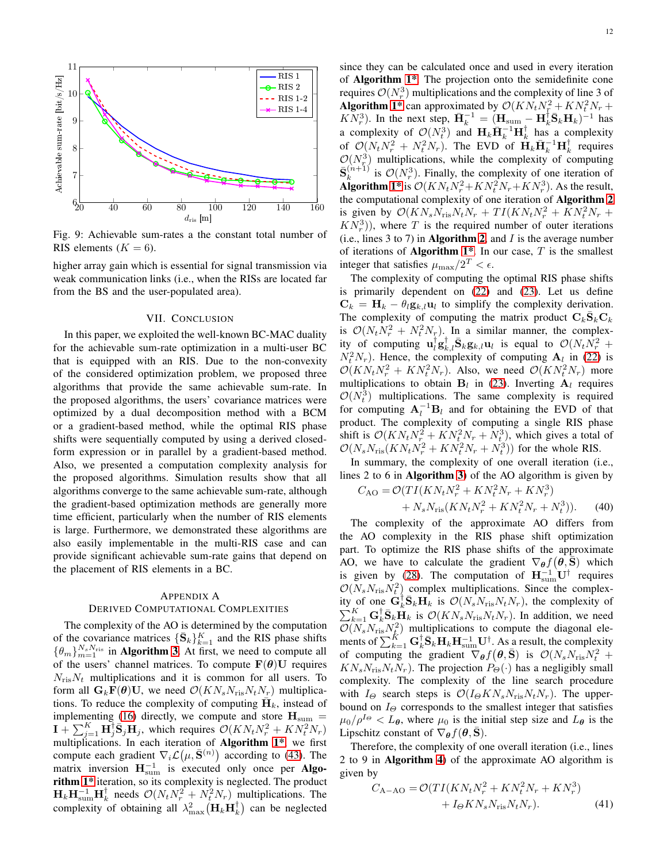<span id="page-11-2"></span>

Fig. 9: Achievable sum-rates a the constant total number of RIS elements  $(K = 6)$ .

higher array gain which is essential for signal transmission via weak communication links (i.e., when the RISs are located far from the BS and the user-populated area).

#### VII. CONCLUSION

<span id="page-11-0"></span>In this paper, we exploited the well-known BC-MAC duality for the achievable sum-rate optimization in a multi-user BC that is equipped with an RIS. Due to the non-convexity of the considered optimization problem, we proposed three algorithms that provide the same achievable sum-rate. In the proposed algorithms, the users' covariance matrices were optimized by a dual decomposition method with a BCM or a gradient-based method, while the optimal RIS phase shifts were sequentially computed by using a derived closedform expression or in parallel by a gradient-based method. Also, we presented a computation complexity analysis for the proposed algorithms. Simulation results show that all algorithms converge to the same achievable sum-rate, although the gradient-based optimization methods are generally more time efficient, particularly when the number of RIS elements is large. Furthermore, we demonstrated these algorithms are also easily implementable in the multi-RIS case and can provide significant achievable sum-rate gains that depend on the placement of RIS elements in a BC.

#### <span id="page-11-1"></span>APPENDIX A

#### DERIVED COMPUTATIONAL COMPLEXITIES

The complexity of the AO is determined by the computation of the covariance matrices  $\{\bar{\mathbf{S}}_k\}_{k=1}^K$  and the RIS phase shifts  $\{\theta_m\}_{m=1}^{N_s N_{\text{ris}}}$  in Algorithm [3](#page-5-1). At first, we need to compute all of the users' channel matrices. To compute  $\mathbf{F}(\theta)$ U requires  $N_{\text{ris}}N_t$  multiplications and it is common for all users. To form all  $\mathbf{G}_k \mathbf{F}(\boldsymbol{\theta}) \mathbf{U}$ , we need  $\mathcal{O}(KN_sN_{ris}N_tN_r)$  multiplications. To reduce the complexity of computing  $\bar{H}_k$ , instead of implementing [\(16\)](#page-3-11) directly, we compute and store  $\mathbf{H}_{\text{sum}} =$  $\mathbf{I} + \sum_{j=1}^{K} \mathbf{H}_{j}^{\dagger} \mathbf{\bar{S}}_{j} \mathbf{H}_{j}$ , which requires  $\mathcal{O}(KN_{t}N_{r}^{2} + KN_{t}^{2}N_{r})$ multiplications. In each iteration of Algorithm [1\\*](#page-4-0), we first compute each gradient  $\nabla_i \mathcal{L}(\mu, \bar{\mathbf{S}}^{(n)})$  according to [\(43\)](#page-12-1). The matrix inversion  $H_{\text{sum}}^{-1}$  is executed only once per Algorithm [1\\*](#page-4-0) iteration, so its complexity is neglected. The product  $H_k H_{\text{sum}}^{-1} H_k^{\dagger}$  needs  $\mathcal{O}(N_t N_r^2 + N_t^2 N_r)$  multiplications. The complexity of obtaining all  $\lambda_{\text{max}}^2 (\mathbf{H}_k \mathbf{H}_k^{\dagger})$  can be neglected since they can be calculated once and used in every iteration of Algorithm [1\\*](#page-4-0). The projection onto the semidefinite cone requires  $\mathcal{O}(N_r^3)$  multiplications and the complexity of line 3 of **Algorithm [1\\*](#page-4-0)** can approximated by  $\mathcal{O}(KN_tN_t^2 + KN_t^2N_r +$  $KN_r^3$ ). In the next step,  $\bar{\mathbf{H}}_k^{-1} = (\mathbf{H}_{\text{sum}} - \mathbf{H}_k^{\dagger} \bar{\mathbf{S}}_k \mathbf{H}_k)^{-1}$  has a complexity of  $\mathcal{O}(N_t^3)$  and  $\mathbf{H}_k \overline{\mathbf{H}}_k^{-1} \mathbf{H}_k^{\dagger}$  has a complexity of  $\mathcal{O}(N_t N_r^2 + N_t^2 N_r)$ . The EVD of  $\mathbf{H}_k \overline{\mathbf{H}}_k^{-1} \mathbf{H}_k^{\dagger}$  requires  $\mathcal{O}(N_r^3)$  multiplications, while the complexity of computing  $\bar{\mathbf{S}}_{k}^{(n+1)}$  $\binom{n+1}{k}$  is  $\mathcal{O}(N_r^3)$ . Finally, the complexity of one iteration of **Algorithm [1\\*](#page-4-0)** is  $O(KN_tN_r^2 + KN_t^2N_r + KN_r^3)$ . As the result, the computational complexity of one iteration of Algorithm [2](#page-4-2) is given by  $\mathcal{O}(KN_sN_{\text{ris}}N_tN_r + TI(KN_tN_r^2 + KN_t^2N_r +$  $KN<sub>r</sub><sup>3</sup>)$ , where T is the required number of outer iterations (i.e., lines 3 to 7) in **Algorithm [2](#page-4-2)**, and  $I$  is the average number of iterations of Algorithm  $1^*$ . In our case,  $T$  is the smallest integer that satisfies  $\mu_{\text{max}}/2^T < \epsilon$ .

The complexity of computing the optimal RIS phase shifts is primarily dependent on [\(22\)](#page-4-5) and [\(23\)](#page-4-6). Let us define  $\mathbf{C}_k = \mathbf{H}_k - \theta_l \mathbf{g}_{k,l} \mathbf{u}_l$  to simplify the complexity derivation. The complexity of computing the matrix product  $\mathbf{C}_k \bar{\mathbf{S}}_k \mathbf{C}_k$ is  $\mathcal{O}(N_t N_r^2 + N_t^2 N_r)$ . In a similar manner, the complexity of computing  $\mathbf{u}_l^{\dagger} \mathbf{g}_{k,l}^{\dagger} \bar{\mathbf{S}}_k \mathbf{g}_{k,l} \mathbf{u}_l$  is equal to  $\mathcal{O}(N_t N_r^2 +$  $N_t^2 N_r$ ). Hence, the complexity of computing  $A_l$  in [\(22\)](#page-4-5) is  $\mathcal{O}(KN_tN_r^2 + KN_t^2N_r)$ . Also, we need  $\mathcal{O}(KN_t^2N_r)$  more multiplications to obtain  $B_l$  in [\(23\)](#page-4-6). Inverting  $A_l$  requires  $\mathcal{O}(N_t^3)$  multiplications. The same complexity is required for computing  $A_l^{-1}B_l$  and for obtaining the EVD of that product. The complexity of computing a single RIS phase shift is  $\mathcal{O}(KN_tN_r^2 + KN_t^2N_r + N_t^3)$ , which gives a total of  $\mathcal{O}(N_s N_{\text{ris}} (KN_t N_r^2 + KN_t^2 N_r + N_t^3))$  for the whole RIS.

In summary, the complexity of one overall iteration (i.e., lines 2 to 6 in Algorithm [3](#page-5-1)) of the AO algorithm is given by

$$
C_{\rm AO} = \mathcal{O}(TI(KN_tN_r^2 + KN_t^2N_r + KN_r^3) + N_sN_{\rm ris}(KN_tN_r^2 + KN_t^2N_r + N_t^3)).
$$
 (40)

The complexity of the approximate AO differs from the AO complexity in the RIS phase shift optimization part. To optimize the RIS phase shifts of the approximate AO, we have to calculate the gradient  $\nabla_{\theta} f(\theta, \bar{\mathbf{\overline{S}}})$  which is given by [\(28\)](#page-5-7). The computation of  $\mathbf{H}^{-1}_{\text{sum}}\mathbf{U}^{\dagger}$  requires  $\mathcal{O}(N_s N_{\text{ris}} N_t^2)$  complex multiplications. Since the complexity of one  $\mathbf{G}_k^{\dagger} \bar{\mathbf{S}}_k \mathbf{H}_k$  is  $\mathcal{O}(N_s N_{\text{ris}} N_t N_r)$ , the complexity of  $\sum_{k=1}^K \mathbf{G}_k^{\dagger} \bar{\mathbf{S}}_k \bar{\mathbf{H}}_k$  is  $\mathcal{O}(KN_sN_{\text{ris}}N_tN_r)$ . In addition, we need  $\mathcal{O}(N_s N_{\text{ris}} N_{t_s}^2)$  multiplications to compute the diagonal elements of  $\sum_{k=1}^K \mathbf{G}_k^{\dagger} \bar{\mathbf{S}}_k \mathbf{H}_k \mathbf{H}_{\text{sum}}^{-1} \mathbf{U}^{\dagger}$ . As a result, the complexity of computing the gradient  $\nabla_{\theta} f(\theta, \bar{S})$  is  $\mathcal{O}(N_s N_{\text{ris}} N_t^2 +$  $KN_sN_{ris}N_tN_r$ ). The projection  $P_{\Theta}(\cdot)$  has a negligibly small complexity. The complexity of the line search procedure with  $I_{\Theta}$  search steps is  $\mathcal{O}(I_{\Theta}KN_sN_{ris}N_tN_r)$ . The upperbound on  $I_{\Theta}$  corresponds to the smallest integer that satisfies  $\mu_0/\rho^{I_{\Theta}} < L_{\theta}$ , where  $\mu_0$  is the initial step size and  $L_{\theta}$  is the Lipschitz constant of  $\nabla_{\theta} f(\theta, \bar{S})$ .

Therefore, the complexity of one overall iteration (i.e., lines 2 to 9 in Algorithm [4](#page-5-3)) of the approximate AO algorithm is given by

$$
C_{A-AO} = \mathcal{O}(TI(KN_tN_r^2 + KN_t^2N_r + KN_r^3) + I_{\Theta}KN_sN_{ris}N_tN_r).
$$
\n(41)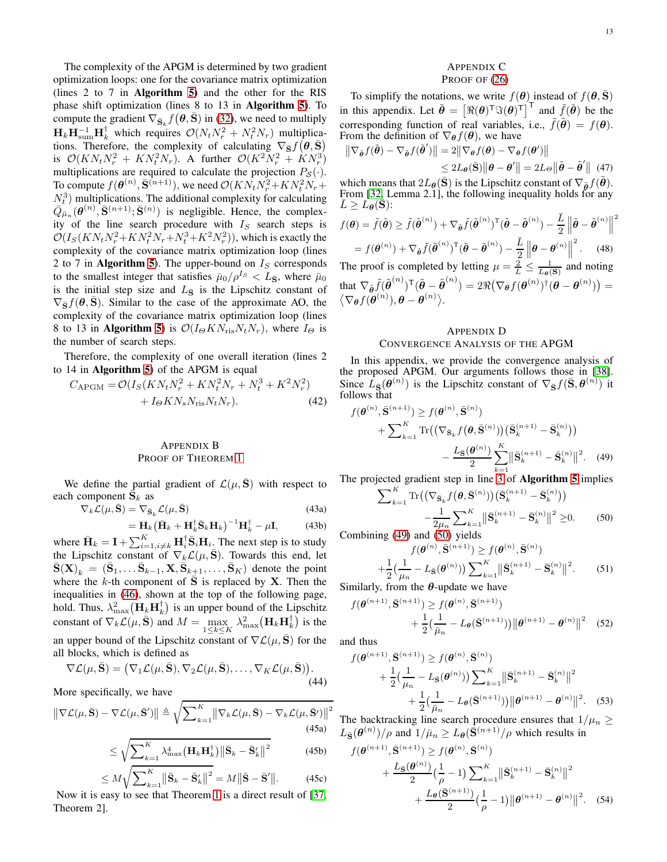The complexity of the APGM is determined by two gradient optimization loops: one for the covariance matrix optimization (lines 2 to 7 in Algorithm [5](#page-6-1)) and the other for the RIS phase shift optimization (lines 8 to 13 in Algorithm [5](#page-6-1)). To compute the gradient  $\nabla_{\bar{\mathbf{S}}_k} f(\theta, \bar{\mathbf{S}})$  in [\(32\)](#page-5-8), we need to multiply  $H_k H_{\text{sum}}^{-1} H_k^{\dagger}$  which requires  $\mathcal{O}(N_t N_r^2 + N_t^2 N_r)$  multiplications. Therefore, the complexity of calculating  $\nabla_{\bar{\mathbf{S}}} f(\theta, \bar{\mathbf{S}})$ is  $\mathcal{O}(KN_tN_r^2 + KN_t^2N_r)$ . A further  $\mathcal{O}(K^2N_r^2 + KN_r^3)$ multiplications are required to calculate the projection  $P_{\mathcal{S}}(\cdot)$ . To compute  $f(\boldsymbol{\theta}^{(n)}, \bar{\mathbf{S}}^{(n+1)}),$  we need  $\mathcal{O}(KN_tN_r^2 + KN_t^2N_r +$  $N_t^3$ ) multiplications. The additional complexity for calculating  $\bar{Q}_{\bar{\mu}_n}(\theta^{(n)}, \bar{\mathbf{S}}^{(n+1)}; \bar{\mathbf{S}}^{(n)})$  is negligible. Hence, the complexity of the line search procedure with  $I<sub>S</sub>$  search steps is  $\mathcal{O}(I_S(KN_tN_r^2 + KN_t^2N_r+N_t^3 + K^2N_r^2))$ , which is exactly the complexity of the covariance matrix optimization loop (lines 2 to 7 in **Algorithm [5](#page-6-1)**). The upper-bound on  $I<sub>S</sub>$  corresponds to the smallest integer that satisfies  $\bar{\mu}_0/\rho^{1_S} < L_{\bar{S}}$ , where  $\bar{\mu}_0$ is the initial step size and  $L_{\overline{S}}$  is the Lipschitz constant of  $\nabla_{\bar{\mathbf{S}}} f(\boldsymbol{\theta}, \bar{\mathbf{S}})$ . Similar to the case of the approximate AO, the complexity of the covariance matrix optimization loop (lines 8 to 13 in Algorithm [5](#page-6-1)) is  $\mathcal{O}(I_{\Theta}KN_{\text{ris}}N_tN_r)$ , where  $I_{\Theta}$  is the number of search steps.

Therefore, the complexity of one overall iteration (lines 2 to 14 in Algorithm [5](#page-6-1)) of the APGM is equal

$$
C_{\text{APGM}} = \mathcal{O}(I_S(KN_tN_r^2 + KN_t^2N_r + N_t^3 + K^2N_r^2) + I_{\Theta}KN_sN_{\text{ris}}N_tN_r). \tag{42}
$$

## <span id="page-12-0"></span>APPENDIX B PROOF OF THEOREM [1](#page-5-0)

We define the partial gradient of  $\mathcal{L}(\mu, \bar{\mathbf{S}})$  with respect to each component  $\vec{S}_k$  as

$$
\nabla_k \mathcal{L}(\mu, \bar{\mathbf{S}}) = \nabla_{\bar{\mathbf{S}}_k} \mathcal{L}(\mu, \bar{\mathbf{S}})
$$
(43a)

<span id="page-12-1"></span>
$$
= \mathbf{H}_k \big( \bar{\mathbf{H}}_k + \mathbf{H}_k^{\dagger} \bar{\mathbf{S}}_k \mathbf{H}_k \big)^{-1} \mathbf{H}_k^{\dagger} - \mu \mathbf{I}, \tag{43b}
$$

where  $\bar{\mathbf{H}}_k = \mathbf{I} + \sum_{i=1, i \neq k}^K \mathbf{H}_i^{\dagger} \bar{\mathbf{S}}_i \mathbf{H}_i$ . The next step is to study the Lipschitz constant of  $\nabla_k \mathcal{L}(\mu, \bar{\mathbf{S}})$ . Towards this end, let  $\bar{\mathbf{S}}(\mathbf{X})_k^{\mathsf{T}} = (\bar{\mathbf{S}}_1, \dots \bar{\mathbf{S}}_{k-1}, \mathbf{X}, \bar{\mathbf{S}}_{k+1}, \dots, \bar{\mathbf{S}}_{K})$  denote the point where the k-th component of  $\bar{S}$  is replaced by X. Then the inequalities in [\(46\)](#page-13-36), shown at the top of the following page, hold. Thus,  $\lambda_{\text{max}}^2(\mathbf{H}_k \mathbf{H}_k^{\dagger})$  is an upper bound of the Lipschitz constant of  $\nabla_k \mathcal{L}(\mu, \bar{S})$  and  $M = \max_{1 \le k \le K} \lambda_{\max}^2 (\mathbf{H}_k \mathbf{H}_k^{\dagger})$  is the an upper bound of the Lipschitz constant of  $\nabla \mathcal{L}(\mu, \bar{\mathbf{S}})$  for the all blocks, which is defined as

$$
\nabla \mathcal{L}(\mu, \bar{\mathbf{S}}) = (\nabla_1 \mathcal{L}(\mu, \bar{\mathbf{S}}), \nabla_2 \mathcal{L}(\mu, \bar{\mathbf{S}}), \dots, \nabla_K \mathcal{L}(\mu, \bar{\mathbf{S}})).
$$
\n(44)

More specifically, we have

$$
\left\|\nabla \mathcal{L}(\mu, \bar{\mathbf{S}}) - \nabla \mathcal{L}(\mu, \bar{\mathbf{S}}')\right\| \triangleq \sqrt{\sum_{k=1}^{K} \left\|\nabla_k \mathcal{L}(\mu, \bar{\mathbf{S}}) - \nabla_k \mathcal{L}(\mu, \bar{\mathbf{S}}')\right\|^2}
$$
\n(45a)

$$
\leq \sqrt{\sum_{k=1}^{K} \lambda_{\max}^{4} \left(\mathbf{H}_{k} \mathbf{H}_{k}^{\dagger}\right) \left\|\bar{\mathbf{S}}_{k} - \bar{\mathbf{S}}_{k}^{\prime}\right\|^{2}}
$$
(45b)

$$
\leq M \sqrt{\sum_{k=1}^{K} ||\bar{\mathbf{S}}_k - \bar{\mathbf{S}}_k'||^2} = M \|\bar{\mathbf{S}} - \bar{\mathbf{S}}'\|.
$$
 (45c)  
998V to see that Theorem 1 is a direct result of 137

Now it is easy to see that Theorem [1](#page-5-0) is a direct result of  $[37, 100]$  $[37, 100]$ Theorem 2].

### <span id="page-12-2"></span>APPENDIX C PROOF OF  $(26)$

To simplify the notations, we write  $f(\theta)$  instead of  $f(\theta, \bar{S})$ in this appendix. Let  $\tilde{\theta} = [\Re(\theta)^T \Im(\theta)^T]^T$  and  $\tilde{f}(\tilde{\theta})$  be the corresponding function of real variables, i.e.,  $\tilde{f}(\tilde{\theta}) = f(\theta)$ . From the definition of  $\nabla_{\theta} f(\theta)$ , we have

$$
\|\nabla_{\tilde{\boldsymbol{\theta}}} f(\tilde{\boldsymbol{\theta}}) - \nabla_{\tilde{\boldsymbol{\theta}}} f(\tilde{\boldsymbol{\theta}}')\| = 2\|\nabla_{\boldsymbol{\theta}} f(\boldsymbol{\theta}) - \nabla_{\boldsymbol{\theta}} f(\boldsymbol{\theta}')\| \n\leq 2L_{\boldsymbol{\theta}}(\bar{\mathbf{S}}) \|\boldsymbol{\theta} - \boldsymbol{\theta}'\| = 2L_{\boldsymbol{\Theta}} \|\tilde{\boldsymbol{\theta}} - \tilde{\boldsymbol{\theta}}'\| \tag{47}
$$

which means that  $2L_{\theta}(\bar{S})$  is the Lipschitz constant of  $\nabla_{\tilde{\theta}} f(\tilde{\theta})$ . From [\[32,](#page-13-31) Lemma 2.1], the following inequality holds for any  $L \geq L_{\theta}(\mathbf{S})$ :

$$
f(\theta) = \tilde{f}(\tilde{\theta}) \ge \tilde{f}(\tilde{\theta}^{(n)}) + \nabla_{\tilde{\theta}} \tilde{f}(\tilde{\theta}^{(n)})^{\mathsf{T}} (\tilde{\theta} - \tilde{\theta}^{(n)}) - \frac{\bar{L}}{2} \left\| \tilde{\theta} - \tilde{\theta}^{(n)} \right\|^2
$$
  
\n
$$
= f(\theta^{(n)}) + \nabla_{\tilde{\theta}} \tilde{f}(\tilde{\theta}^{(n)})^{\mathsf{T}} (\tilde{\theta} - \tilde{\theta}^{(n)}) - \frac{\bar{L}}{2} \left\| \theta - \theta^{(n)} \right\|^2. \quad (48)
$$
  
\nThe proof is completed by letting  $\mu = \frac{2}{L} \le \frac{1}{L_{\theta}(S)}$  and noting that  $\nabla_{\tilde{\theta}} \tilde{f}(\tilde{\theta}^{(n)})^{\mathsf{T}} (\tilde{\theta} - \tilde{\theta}^{(n)}) = 2 \Re \left( \nabla_{\theta} f(\theta^{(n)})^{\dagger} (\theta - \theta^{(n)}) \right) =$ 

# <span id="page-12-3"></span>APPENDIX D CONVERGENCE ANALYSIS OF THE APGM

In this appendix, we provide the convergence analysis of the proposed APGM. Our arguments follows those in [\[38\]](#page-13-38). Since  $\hat{L}_{\bar{S}}(\theta^{(n)})$  is the Lipschitz constant of  $\nabla_{\bar{S}}f(\bar{S},\theta^{(n)})$  it follows that

$$
f(\boldsymbol{\theta}^{(n)}, \bar{\mathbf{S}}^{(n+1)}) \ge f(\boldsymbol{\theta}^{(n)}, \bar{\mathbf{S}}^{(n)}) + \sum_{k=1}^{K} \text{Tr}\big((\nabla_{\bar{\mathbf{S}}_k} f(\boldsymbol{\theta}, \bar{\mathbf{S}}^{(n)}))(\bar{\mathbf{S}}_k^{(n+1)} - \bar{\mathbf{S}}_k^{(n)})\big) - \frac{L_{\bar{\mathbf{S}}}(\boldsymbol{\theta}^{(n)})}{2} \sum_{k=1}^{K} \|\bar{\mathbf{S}}_k^{(n+1)} - \bar{\mathbf{S}}_k^{(n)}\|^2. \tag{49}
$$

The projected gradient step in line [3](#page-6-2) of **Algorithm [5](#page-6-1)** implies

<span id="page-12-4"></span>
$$
\sum_{k=1}^{K} \text{Tr}\left( \left( \nabla_{\bar{\mathbf{S}}_k} f(\boldsymbol{\theta}, \bar{\mathbf{S}}^{(n)}) \right) (\bar{\mathbf{S}}_k^{(n+1)} - \bar{\mathbf{S}}_k^{(n)}) \right) - \frac{1}{2\mu_n} \sum_{k=1}^{K} \left\| \bar{\mathbf{S}}_k^{(n+1)} - \bar{\mathbf{S}}_k^{(n)} \right\|^2 \ge 0. \tag{50}
$$

Combining [\(49\)](#page-12-4) and [\(50\)](#page-12-5) yields

<span id="page-12-5"></span>
$$
f(\boldsymbol{\theta}^{(n)}, \bar{\mathbf{S}}^{(n+1)}) \ge f(\boldsymbol{\theta}^{(n)}, \bar{\mathbf{S}}^{(n)}) + \frac{1}{2} \left( \frac{1}{\mu_n} - L_{\bar{\mathbf{S}}}(\boldsymbol{\theta}^{(n)}) \right) \sum_{k=1}^{K} ||\bar{\mathbf{S}}_k^{(n+1)} - \bar{\mathbf{S}}_k^{(n)}||^2.
$$
 (51)

Similarly, from the  $\theta$ -update we have

 $\langle \nabla_{\boldsymbol{\theta}} f(\boldsymbol{\theta}^{(n)}), \boldsymbol{\theta} - \boldsymbol{\theta}^{(n)} \rangle.$ 

$$
\begin{aligned} \mathbf{S}^{(n+1)}) &\ge f(\boldsymbol{\theta}^{(n)}, \bar{\mathbf{S}}^{(n+1)}) \\ &+ \frac{1}{2} \big( \frac{1}{\bar{\mu}_n} - L_{\boldsymbol{\theta}}(\bar{\mathbf{S}}^{(n+1)}) \big) \big\| \boldsymbol{\theta}^{(n+1)} - \boldsymbol{\theta}^{(n)} \big\|^2 \end{aligned} \tag{52}
$$

and thus

 $f(\boldsymbol{\theta}^{(n+1)}$ 

$$
f(\boldsymbol{\theta}^{(n+1)}, \bar{\mathbf{S}}^{(n+1)}) \ge f(\boldsymbol{\theta}^{(n)}, \bar{\mathbf{S}}^{(n)}) + \frac{1}{2} (\frac{1}{\mu_n} - L_{\bar{\mathbf{S}}}(\boldsymbol{\theta}^{(n)})) \sum_{k=1}^{K} ||\bar{\mathbf{S}}_{k}^{(n+1)} - \bar{\mathbf{S}}_{k}^{(n)}||^{2} + \frac{1}{2} (\frac{1}{\bar{\mu}_n} - L_{\boldsymbol{\theta}}(\bar{\mathbf{S}}^{(n+1)})) ||\boldsymbol{\theta}^{(n+1)} - \boldsymbol{\theta}^{(n)}||^{2}.
$$
 (53)

The backtracking line search procedure ensures that  $1/\mu_n \geq$  $L_{\bar{\mathbf{S}}}(\boldsymbol{\theta}^{(n)})/\rho$  and  $1/\bar{\mu}_n \geq L_{\boldsymbol{\theta}}(\bar{\mathbf{S}}^{(n+1)}/\rho$  which results in

$$
f(\theta^{(n+1)}, \bar{\mathbf{S}}^{(n+1)}) \ge f(\theta^{(n)}, \bar{\mathbf{S}}^{(n)}) + \frac{L_{\bar{\mathbf{S}}}(\theta^{(n)})}{2} \left(\frac{1}{\rho} - 1\right) \sum_{k=1}^{K} \left\| \bar{\mathbf{S}}_{k}^{(n+1)} - \bar{\mathbf{S}}_{k}^{(n)} \right\|^{2} + \frac{L_{\theta}(\bar{\mathbf{S}}^{(n+1)})}{2} \left(\frac{1}{\rho} - 1\right) \left\| \theta^{(n+1)} - \theta^{(n)} \right\|^{2}.
$$
 (54)